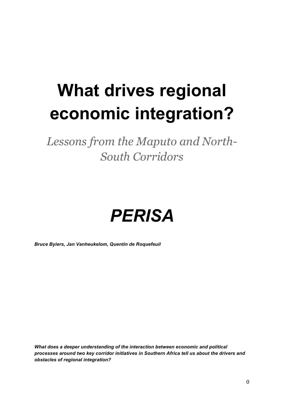# **What drives regional economic integration?**

*Lessons from the Maputo and North-South Corridors*



*Bruce Byiers, Jan Vanheukelom, Quentin de Roquefeuil*

*What does a deeper understanding of the interaction between economic and political processes around two key corridor initiatives in Southern Africa tell us about the drivers and obstacles of regional integration?*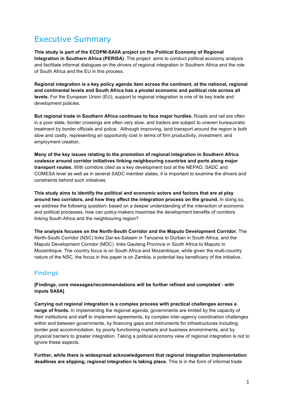# Executive Summary

**This study is part of the ECDPM-SAIIA project on the Political Economy of Regional Integration in Southern Africa (PERISA)**. The project aims to conduct political economy analysis and facilitate informal dialogues on the drivers of regional integration in Southern Africa and the role of South Africa and the EU in this process.

**Regional integration is a key policy agenda item across the continent, at the national, regional and continental levels and South Africa has a pivotal economic and political role across all levels.** For the European Union (EU), support to regional integration is one of its key trade and development policies.

**But regional trade in Southern Africa continues to face major hurdles.** Roads and rail are often in a poor state, border crossings are often very slow, and traders are subject to uneven bureaucratic treatment by border officials and police. Although improving, land transport around the region is both slow and costly, representing an opportunity cost in terms of firm productivity, investment, and employment creation.

**Many of the key issues relating to the promotion of regional integration in Southern Africa coalesce around corridor initiatives linking neighbouring countries and ports along major transport routes.** With corridors cited as a key development tool at the NEPAD, SADC and COMESA level as well as in several SADC member states, it is important to examine the drivers and constraints behind such initiatives.

**This study aims to identify the political and economic actors and factors that are at play around two corridors, and how they affect the integration process on the ground.** In doing so, we address the following question**:** based on a deeper understanding of the interaction of economic and political processes, how can policy-makers maximise the development benefits of corridors linking South Africa and the neighbouring region?

**The analysis focuses on the North-South Corridor and the Maputo Development Corridor.** The North-South Corridor (NSC) links Dar-es-Salaam in Tanzania to Durban in South Africa, and the Maputo Development Corridor (MDC) links Gauteng Province in South Africa to Maputo in Mozambique. The country focus is on South Africa and Mozambique, while given the multi-country nature of the NSC, the focus in this paper is on Zambia, a potential key beneficiary of the initiative..

### Findings

**[Findings, core messages/recommendations will be further refined and completed - with inputs SAIIA]**

**Carrying out regional integration is a complex process with practical challenges across a range of fronts.** In implementing the regional agenda, governments are limited by the capacity of their institutions and staff to implement agreements, by complex inter-agency coordination challenges within and between governments, by financing gaps and instruments for infrastructures including border post accommodation, by poorly functioning markets and business environments, and by physical barriers to greater integration. Taking a political economy view of regional integration is not to ignore these aspects.

**Further, while there is widespread acknowledgement that regional integration implementation deadlines are slipping, regional integration is taking place.** This is in the form of informal trade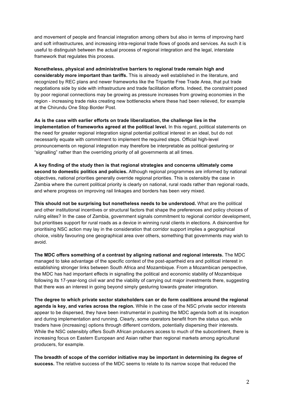and movement of people and financial integration among others but also in terms of improving hard and soft infrastructures, and increasing intra-regional trade flows of goods and services. As such it is useful to distinguish between the actual process of regional integration and the legal, interstate framework that regulates this process.

**Nonetheless, physical and administrative barriers to regional trade remain high and considerably more important than tariffs.** This is already well established in the literature, and recognized by REC plans and newer frameworks like the Tripartite Free Trade Area, that put trade negotiations side by side with infrastructure and trade facilitation efforts. Indeed, the constraint posed by poor regional connections may be growing as pressure increases from growing economies in the region - increasing trade risks creating new bottlenecks where these had been relieved, for example at the Chirundu One Stop Border Post.

**As is the case with earlier efforts on trade liberalization, the challenge lies in the implementation of frameworks agreed at the political level.** In this regard, political statements on the need for greater regional integration signal potential political interest in an ideal, but do not necessarily equate with commitment to implement the required steps. Official high-level pronouncements on regional integration may therefore be interpretable as political gesturing or "signalling" rather than the overriding priority of all governments at all times.

**A key finding of the study then is that regional strategies and concerns ultimately come second to domestic politics and policies.** Although regional programmes are informed by national objectives, national priorities generally override regional priorities. This is ostensibly the case in Zambia where the current political priority is clearly on national, rural roads rather than regional roads, and where progress on improving rail linkages and borders has been very mixed.

**This should not be surprising but nonetheless needs to be understood.** What are the political and other institutional incentives or structural factors that shape the preferences and policy choices of ruling elites? In the case of Zambia, government signals commitment to regional corridor development, but prioritises support for rural roads as a device in winning rural clients in elections. A disincentive for prioritising NSC action may lay in the consideration that corridor support implies a geographical choice, visibly favouring one geographical area over others, something that governments may wish to avoid.

**The MDC offers something of a contrast by aligning national and regional interests.** The MDC managed to take advantage of the specific context of the post-apartheid era and political interest in establishing stronger links between South Africa and Mozambique. From a Mozambican perspective, the MDC has had important effects in signalling the political and economic stability of Mozambique following its 17-year-long civil war and the viability of carrying out major investments there, suggesting that there was an interest in going beyond simply gesturing towards greater integration.

**The degree to which private sector stakeholders can or do form coalitions around the regional agenda is key, and varies across the region.** While in the case of the NSC private sector interests appear to be dispersed, they have been instrumental in pushing the MDC agenda both at its inception and during implementation and running. Clearly, some operators benefit from the status quo, while traders have (increasing) options through different corridors, potentially dispersing their interests. While the NSC ostensibly offers South African producers access to much of the subcontinent, there is increasing focus on Eastern European and Asian rather than regional markets among agricultural producers, for example.

**The breadth of scope of the corridor initiative may be important in determining its degree of success.** The relative success of the MDC seems to relate to its narrow scope that reduced the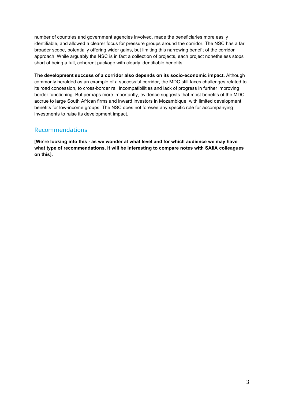number of countries and government agencies involved, made the beneficiaries more easily identifiable, and allowed a clearer focus for pressure groups around the corridor. The NSC has a far broader scope, potentially offering wider gains, but limiting this narrowing benefit of the corridor approach. While arguably the NSC is in fact a collection of projects, each project nonetheless stops short of being a full, coherent package with clearly identifiable benefits.

**The development success of a corridor also depends on its socio-economic impact.** Although commonly heralded as an example of a successful corridor, the MDC still faces challenges related to its road concession, to cross-border rail incompatibilities and lack of progress in further improving border functioning. But perhaps more importantly, evidence suggests that most benefits of the MDC accrue to large South African firms and inward investors in Mozambique, with limited development benefits for low-income groups. The NSC does not foresee any specific role for accompanying investments to raise its development impact.

### Recommendations

**[We're looking into this - as we wonder at what level and for which audience we may have what type of recommendations. It will be interesting to compare notes with SAIIA colleagues on this].**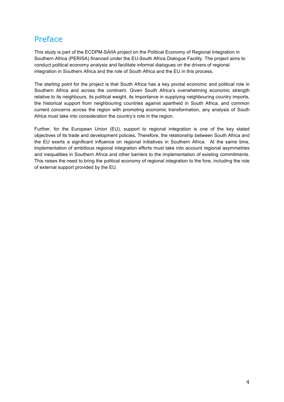# Preface

This study is part of the ECDPM-SAIIA project on the Political Economy of Regional Integration in Southern Africa (PERISA) financed under the EU-South Africa Dialogue Facility. The project aims to conduct political economy analysis and facilitate informal dialogues on the drivers of regional integration in Southern Africa and the role of South Africa and the EU in this process.

The starting point for the project is that South Africa has a key pivotal economic and political role in Southern Africa and across the continent. Given South Africa's overwhelming economic strength relative to its neighbours, its political weight, its importance in supplying neighbouring country imports, the historical support from neighbouring countries against apartheid in South Africa, and common current concerns across the region with promoting economic transformation, any analysis of South Africa must take into consideration the country's role in the region.

Further, for the European Union (EU), support to regional integration is one of the key stated objectives of its trade and development policies**.** Therefore, the relationship between South Africa and the EU exerts a significant influence on regional initiatives in Southern Africa. At the same time, implementation of ambitious regional integration efforts must take into account regional asymmetries and inequalities in Southern Africa and other barriers to the implementation of existing commitments. This raises the need to bring the political economy of regional integration to the fore, including the role of external support provided by the EU.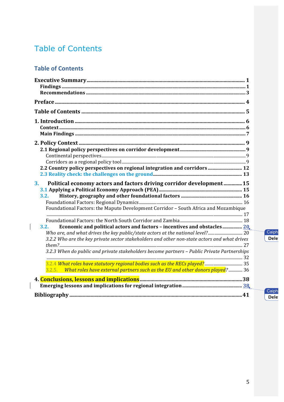# **Table of Contents**

# **Table of Contents**

 $\overline{\phantom{a}}$ 

 $\overline{\phantom{a}}$ 

| 2.2 Country policy perspectives on regional integration and corridors  12                    |
|----------------------------------------------------------------------------------------------|
|                                                                                              |
| Political economy actors and factors driving corridor development 15<br>3.                   |
|                                                                                              |
| 3.2.                                                                                         |
| Foundational Factors: the Maputo Development Corridor - South Africa and Mozambique          |
|                                                                                              |
|                                                                                              |
| Economic and political actors and factors - incentives and obstacles 20,<br>3.2.             |
|                                                                                              |
| 3.2.2 Who are the key private sector stakeholders and other non-state actors and what drives |
|                                                                                              |
| 3.2.3 When do public and private stakeholders become partners - Public Private Partnerships  |
|                                                                                              |
| 3.2.5. What roles have external partners such as the EU and other donors played? 36          |
|                                                                                              |
|                                                                                              |
|                                                                                              |

Caiph<br>Dele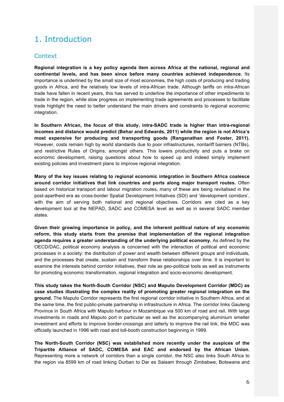# 1. Introduction

### **Context**

**Regional integration is a key policy agenda item across Africa at the national, regional and continental levels, and has been since before many countries achieved independence.** Its importance is underlined by the small size of most economies, the high costs of producing and trading goods in Africa, and the relatively low levels of intra-African trade. Although tariffs on intra-African trade have fallen in recent years, this has served to underline the importance of other impediments to trade in the region, while slow progress on implementing trade agreements and processes to facilitate trade highlight the need to better understand the main drivers and constraints to regional economic integration.

**In Southern African, the focus of this study, intra-SADC trade is higher than intra-regional incomes and distance would predict (Behar and Edwards, 2011) while the region is not Africa's most expensive for producing and transporting goods (Ranganathan and Foster, 2011).** However, costs remain high by world standards due to poor infrastructures, nontariff barriers (NTBs), and restrictive Rules of Origins, amongst others. This lowers productivity and puts a brake on economic development, raising questions about how to speed up and indeed simply implement existing policies and investment plans to improve regional integration.

**Many of the key issues relating to regional economic integration in Southern Africa coalesce around corridor initiatives that link countries and ports along major transport routes.** Often based on historical transport and labour migration routes, many of these are being revitalised in the post-apartheid era as cross-border Spatial Development Initiatives (SDI) and 'development corridors', with the aim of serving both national and regional objectives. Corridors are cited as a key development tool at the NEPAD, SADC and COMESA level as well as in several SADC member states.

**Given their growing importance in policy, and the inherent political nature of any economic reform, this study starts from the premise that implementation of the regional integration agenda requires a greater understanding of the underlying political economy.** As defined by the OECD/DAC, political economy analysis is concerned with the interaction of political and economic processes in a society: the distribution of power and wealth between different groups and individuals, and the processes that create, sustain and transform these relationships over time. It is important to examine the interests behind corridor initiatives, their role as geo-political tools as well as instruments for promoting economic transformation, regional integration and socio-economic development.

**This study takes the North-South Corridor (NSC) and Maputo Development Corridor (MDC) as case studies illustrating the complex reality of promoting greater regional integration on the ground.** The Maputo Corridor represents the first regional corridor initiative in Southern Africa, and at the same time, the first public-private partnership in infrastructure in Africa. The corridor links Gauteng Province in South Africa with Maputo harbour in Mozambique via 500 km of road and rail. With large investments in roads and Maputo port in particular as well as the accompanying aluminium smelter investment and efforts to improve border-crossings and latterly to improve the rail link, the MDC was officially launched in 1996 with road and toll-booth construction beginning in 1999.

**The North-South Corridor (NSC) was established more recently under the auspices of the Tripartite Alliance of SADC, COMESA and EAC and endorsed by the African Union.** Representing more a network of corridors than a single corridor, the NSC also links South Africa to the region via 8599 km of road linking Durban to Dar es Salaam through Zimbabwe, Botswana and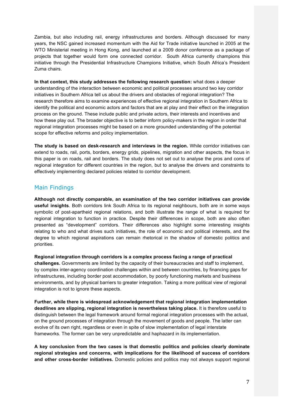Zambia, but also including rail, energy infrastructures and borders. Although discussed for many years, the NSC gained increased momentum with the Aid for Trade initiative launched in 2005 at the WTO Ministerial meeting in Hong Kong, and launched at a 2009 donor conference as a package of projects that together would form one connected corridor. South Africa currently champions this initiative through the Presidential Infrastructure Champions Initiative, which South Africa's President Zuma chairs.

**In that context, this study addresses the following research question:** what does a deeper understanding of the interaction between economic and political processes around two key corridor initiatives in Southern Africa tell us about the drivers and obstacles of regional integration? The research therefore aims to examine experiences of effective regional integration in Southern Africa to identify the political and economic actors and factors that are at play and their effect on the integration process on the ground. These include public and private actors, their interests and incentives and how these play out. The broader objective is to better inform policy-makers in the region in order that regional integration processes might be based on a more grounded understanding of the potential scope for effective reforms and policy implementation.

**The study is based on desk-research and interviews in the region.** While corridor initiatives can extend to roads, rail, ports, borders, energy grids, pipelines, migration and other aspects, the focus in this paper is on roads, rail and borders. The study does not set out to analyse the pros and cons of regional integration for different countries in the region, but to analyse the drivers and constraints to effectively implementing declared policies related to corridor development.

### Main Findings

**Although not directly comparable, an examination of the two corridor initiatives can provide useful insights**. Both corridors link South Africa to its regional neighbours, both are in some ways symbolic of post-apartheid regional relations, and both illustrate the range of what is required for regional integration to function in practice. Despite their differences in scope, both are also often presented as "development" corridors. Their differences also highlight some interesting insights relating to who and what drives such initiatives, the role of economic and political interests, and the degree to which regional aspirations can remain rhetorical in the shadow of domestic politics and priorities.

**Regional integration through corridors is a complex process facing a range of practical challenges.** Governments are limited by the capacity of their bureaucracies and staff to implement, by complex inter-agency coordination challenges within and between countries, by financing gaps for infrastructures, including border post accommodation, by poorly functioning markets and business environments, and by physical barriers to greater integration. Taking a more political view of regional integration is not to ignore these aspects.

**Further, while there is widespread acknowledgement that regional integration implementation deadlines are slipping, regional integration is nevertheless taking place.** It is therefore useful to distinguish between the legal framework around formal regional integration processes with the actual, on the ground processes of integration through the movement of goods and people. The latter can evolve of its own right, regardless or even in spite of slow implementation of legal interstate frameworks. The former can be very unpredictable and haphazard in its implementation.

**A key conclusion from the two cases is that domestic politics and policies clearly dominate regional strategies and concerns, with implications for the likelihood of success of corridors and other cross-border initiatives.** Domestic policies and politics may not always support regional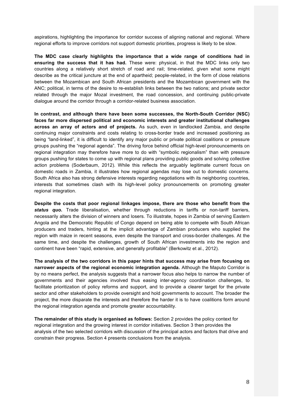aspirations, highlighting the importance for corridor success of aligning national and regional. Where regional efforts to improve corridors not support domestic priorities, progress is likely to be slow.

**The MDC case clearly highlights the importance that a wide range of conditions had in ensuring the success that it has had.** These were: physical, in that the MDC links only two countries along a relatively short stretch of road and rail; time-related, given what some might describe as the critical juncture at the end of apartheid; people-related, in the form of close relations between the Mozambican and South African presidents and the Mozambican government with the ANC; political, in terms of the desire to re-establish links between the two nations; and private sector related through the major Mozal investment, the road concession, and continuing public-private dialogue around the corridor through a corridor-related business association.

**In contrast, and although there have been some successes, the North-South Corridor (NSC) faces far more dispersed political and economic interests and greater institutional challenges across an array of actors and of projects.** As such, even in landlocked Zambia, and despite continuing major constraints and costs relating to cross-border trade and increased positioning as being "land-linked", it is difficult to identify any major public or private political coalitions or pressure groups pushing the "regional agenda". The driving force behind official high-level pronouncements on regional integration may therefore have more to do with "symbolic regionalism" than with pressure groups pushing for states to come up with regional plans providing public goods and solving collective action problems (Soderbaum, 2012). While this reflects the arguably legitimate current focus on domestic roads in Zambia, it illustrates how regional agendas may lose out to domestic concerns. South Africa also has strong defensive interests regarding negotiations with its neighboring countries, interests that sometimes clash with its high-level policy pronouncements on promoting greater regional integration.

**Despite the costs that poor regional linkages impose, there are those who benefit from the**  status quo. Trade liberalisation, whether through reductions in tariffs or non-tariff barriers, necessarily alters the division of winners and losers. To illustrate, hopes in Zambia of serving Eastern Angola and the Democratic Republic of Congo depend on being able to compete with South African producers and traders, hinting at the implicit advantage of Zambian producers who supplied the region with maize in recent seasons, even despite the transport and cross-border challenges. At the same time, and despite the challenges, growth of South African investments into the region and continent have been "rapid, extensive, and generally profitable" (Berkowitz et al., 2012).

**The analysis of the two corridors in this paper hints that success may arise from focusing on narrower aspects of the regional economic integration agenda.** Although the Maputo Corridor is by no means perfect, the analysis suggests that a narrower focus also helps to narrow the number of governments and their agencies involved thus easing inter-agency coordination challenges, to facilitate prioritization of policy reforms and support, and to provide a clearer target for the private sector and other stakeholders to provide oversight and hold governments to account. The broader the project, the more disparate the interests and therefore the harder it is to have coalitions form around the regional integration agenda and promote greater accountability.

**The remainder of this study is organised as follows:** Section 2 provides the policy context for regional integration and the growing interest in corridor initiatives. Section 3 then provides the analysis of the two selected corridors with discussion of the principal actors and factors that drive and constrain their progress. Section 4 presents conclusions from the analysis.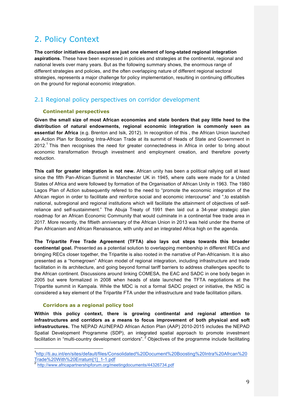# 2. Policy Context

**The corridor initiatives discussed are just one element of long-stated regional integration aspirations.** These have been expressed in policies and strategies at the continental, regional and national levels over many years. But as the following summary shows, the enormous range of different strategies and policies, and the often overlapping nature of different regional sectoral strategies, represents a major challenge for policy implementation, resulting in continuing difficulties on the ground for regional economic integration.

### 2.1 Regional policy perspectives on corridor development

#### **Continental perspectives**

**Given the small size of most African economies and state borders that pay little heed to the distribution of natural endowments, regional economic integration is commonly seen as essential for Africa** (e.g. Brenton and Isik, 2012). In recognition of this , the African Union launched an Action Plan for Boosting Intra-African Trade at its summit of Heads of State and Government in 2012.<sup>1</sup> This then recognises the need for greater connectedness in Africa in order to bring about economic transformation through investment and employment creation, and therefore poverty reduction.

**This call for greater integration is not new.** African unity has been a political rallying call at least since the fifth Pan-African Summit in Manchester UK in 1945, where calls were made for a United States of Africa and were followed by formation of the Organisation of African Unity in 1963. The 1980 Lagos Plan of Action subsequently refered to the need to "promote the economic integration of the African region in order to facilitate and reinforce social and economic intercourse" and ",to establish national, subregional and regional institutions which will facilitate the attainment of objectives of selfreliance and self-sustainment." The Abuja Treaty of 1991 then laid out a 34-year strategic plan roadmap for an African Economic Community that would culminate in a continental free trade area in 2017. More recently, the fiftieth anniversary of the African Union in 2013 was held under the theme of Pan Africanism and African Renaissance, with unity and an integrated Africa high on the agenda.

**The Tripartite Free Trade Agreement (TFTA) also lays out steps towards this broader continental goal.** Presented as a potential solution to overlapping membership in different RECs and bringing RECs closer together, the Tripartite is also rooted in the narrative of Pan-Africanism. It is also presented as a "homegrown" African model of regional integration, including infrastructure and trade facilitation in its architecture, and going beyond formal tariff barriers to address challenges specific to the African continent. Discussions around linking COMESA, the EAC and SADC in one body began in 2005 but were formalized in 2008 when heads of state launched the TFTA negotiations at the Tripartite summit in Kampala. While the MDC is not a formal SADC project or initiative, the NSC is considered a key element of the Tripartite FTA under the infrastructure and trade facilitation pillars.

#### **Corridors as a regional policy tool**

**Within this policy context, there is growing continental and regional attention to infrastructures and corridors as a means to focus improvement of both physical and soft infrastructures.** The NEPAD AU/NEPAD African Action Plan (AAP) 2010-2015 includes the NEPAD Spatial Development Programme (SDP), an integrated spatial approach to promote investment facilitation in "multi-country development corridors".<sup>2</sup> Objectives of the programme include facilitating

 <sup>1</sup> http://ti.au.int/en/sites/default/files/Consolidated%20Document%20Boosting%20Intra%20Afrcan%20 Trade%20With%20Erratum[1]\_1-1.pdf <sup>2</sup> http://www.africapartnershipforum.org/meetingdocuments/44326734.pdf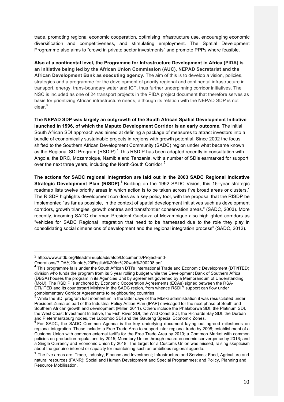trade, promoting regional economic cooperation, optimising infrastructure use, encouraging economic diversification and competitiveness, and stimulating employment. The Spatial Development Programme also aims to "crowd in private sector investments" and promote PPPs where feasible.

**Also at a continental level, the Programme for Infrastructure Development in Africa (PIDA) is an initiative being led by the African Union Commission (AUC), NEPAD Secretariat and the African Development Bank as executing agency.** The aim of this is to develop a vision, policies, strategies and a programme for the development of priority regional and continental infrastructure in transport, energy, trans-boundary water and ICT, thus further underpinning corridor initiatives. The NSC is included as one of 24 transport projects in the PIDA project document that therefore serves as basis for prioritizing African infrastructure needs, although its relation with the NEPAD SDP is not clear.<sup>3</sup>

**The NEPAD SDP was largely an outgrowth of the South African Spatial Development Initiative launched in 1996, of which the Maputo Development Corridor is an early outcome.** The initial South African SDI approach was aimed at defining a package of measures to attract investors into a bundle of economically sustainable projects in regions with growth potential. Since 2002 the focus shifted to the Southern African Development Community (SADC) region under what became known as the Regional SDI Program (RSDIP).<sup>4</sup> This RSDIP has been adapted recently in consultation with Angola, the DRC, Mozambique, Namibia and Tanzania, with a number of SDIs earmarked for support over the next three years, including the North-South Corridor.**<sup>5</sup>**

**The actions for SADC regional integration are laid out in the 2003 SADC Regional Indicative Strategic Development Plan (RISDP).<sup>6</sup>** Building on the 1992 SADC Vision, this 15–year strategic roadmap lists twelve priority areas in which action is to be taken across five broad areas or clusters.<sup>7</sup> The RISDP highlights development corridors as a key policy tool, with the proposal that the RISDP be implemented "as far as possible, in the context of spatial development initiatives such as development corridors, growth triangles, growth centres and transfrontier conservation areas." (SADC, 2003). More recently, incoming SADC chairman President Guebuza of Mozambique also highlighted corridors as "vehicles for SADC Regional Integration that need to be harnessed due to the role they play in consolidating social dimensions of development and the regional integration process" (SADC, 2012).

 

<sup>3</sup> http://www.afdb.org/fileadmin/uploads/afdb/Documents/Project-and-

Operations/PIDA%20note%20English%20for%20web%200208.pdf

<sup>4</sup> This programme falls under the South African DTI's International Trade and Economic Development (DTI/ITED) division who funds the program from its 3 year rolling budget while the Development Bank of Southern Africa (DBSA) houses the program in its Agencies Unit by agreement governed by a Memorandum of Understanding (MoU). The RSDIP is anchored by Economic Cooperation Agreements (ECAs) signed between the RSA-DTI/ITED and its counterpart Ministry in the SADC region, from whence RSDIP support can flow under complementary Corridor Agreements to neighbouring countries

<sup>5</sup> While the SDI program lost momentum in the latter days of the Mbeki administration it was resuscitated under President Zuma as part of the Industrial Policy Action Plan (IPAP) envisaged for the next phase of South and Southern African growth and development (Miller, 2011). Others include the Phalaborwa SDI, the Platinum SDI, the West Coast Investment Initiative, the Fish River SDI, the Wild Coast SDI, the Richards Bay SDI, the Durban

and Pietermaritzburg nodes, the Lubombo SDI and the Gauteng Special Economic Zones.<br><sup>6</sup> For SADC, the SADC Common Agenda is the key underlying document laying out agreed milestones on regional integration. These include: a Free Trade Area to support inter-regional trade by 2008; establishment of a Customs Union with common external tariffs for the Free Trade Area by 2010; a Common Market with common policies on production regulations by 2015; Monetary Union through macro-economic convergence by 2016; and a Single Currency and Economic Union by 2018. The target for a Customs Union was missed, raising skepticism about the genuine interest or capacity for maintaining such an ambitious regional agenda.

 $7$  The five areas are: Trade, Industry, Finance and Investment; Infrastructure and Services; Food, Agriculture and natural resources (FANR); Social and Human Development and Special Programmes; and Policy, Planning and Resource Mobilisation.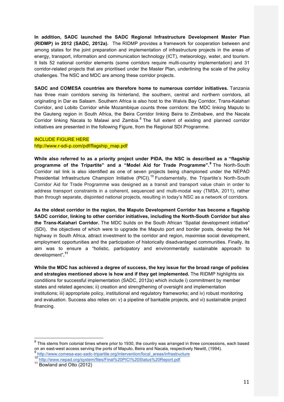**In addition, SADC launched the SADC Regional Infrastructure Development Master Plan (RIDMP) in 2012 (SADC, 2012a).** The RIDMP provides a framework for cooperation between and among states for the joint preparation and implementation of infrastructure projects in the areas of energy, transport, information and communication technology (ICT), meteorology, water, and tourism. It lists 52 national corridor elements (some corridors require multi-country implementation) and 31 corridor-related projects that are prioritised under the Master Plan, underlining the scale of the policy challenges. The NSC and MDC are among these corridor projects.

**SADC and COMESA countries are therefore home to numerous corridor initiatives.** Tanzania has three main corridors serving its hinterland, the southern, central and northern corridors, all originating in Dar es Salaam. Southern Africa is also host to the Walvis Bay Corridor, Trans-Kalahari Corridor, and Lobito Corridor while Mozambique counts three corridors: the MDC linking Maputo to the Gauteng region in South Africa, the Beira Corridor linking Beira to Zimbabwe, and the Nacala Corridor linking Nacala to Malawi and Zambia.<sup>8</sup> The full extent of existing and planned corridor initiatives are presented in the following Figure, from the Regional SDI Programme.

#### INCLUDE FIGURE HERE

#### http://www.r-sdi-p.com/pdf/flagship\_map.pdf

**While also referred to as a priority project under PIDA, the NSC is described as a "flagship programme of the Tripartite" and a "Model Aid for Trade Programme".<sup>9</sup>** The North-South Corridor rail link is also identified as one of seven projects being championed under the NEPAD Presidential Infrastructure Champion Initiative (PICI).<sup>10</sup> Fundamentally, the Tripartite's North-South Corridor Aid for Trade Programme was designed as a transit and transport value chain in order to address transport constraints in a coherent, sequenced and multi-modal way (TMSA, 2011), rather than through separate, disjointed national projects, resulting in today's NSC as a network of corridors.

**As the oldest corridor in the region, the Maputo Development Corridor has become a flagship SADC corridor, linking to other corridor initiatives, including the North-South Corridor but also the Trans-Kalahari Corridor.** The MDC builds on the South African "Spatial development initiative" (SDI), the objectives of which were to upgrade the Maputo port and border posts, develop the N4 highway in South Africa, attract investment to the corridor and region, maximise social development, employment opportunities and the participation of historically disadvantaged communities. Finally, its aim was to ensure a "holistic, participatory and environmentally sustainable approach to development"**. 11**

**While the MDC has achieved a degree of success, the key issue for the broad range of policies and strategies mentioned above is how and if they get implemented.** The RIDMP highlights six conditions for successful implementation (SADC, 2012a) which include i) commitment by member states and related agencies; ii) creation and strengthening of oversight and implementation institutions; iii) appropriate policy, institutional and regulatory frameworks; and iv) robust monitoring and evaluation. Success also relies on: v) a pipeline of bankable projects, and vi) sustainable project financing.

 $8$  This stems from colonial times where prior to 1930, the country was arranged in three concessions, each based on an east-west access serving the ports of Maputo, Beira and Nacala, respectively Newitt, (1994).

<sup>&</sup>lt;sup>9</sup>http://www.comesa-eac-sadc-tripartite.org/intervention/focal\_areas/infrastructure<br><sup>10</sup>http://www.nepad.org/system/files/Final%20PICI%20Status%20Report.pdf<br><sup>11</sup> Bowland and Otto (2012)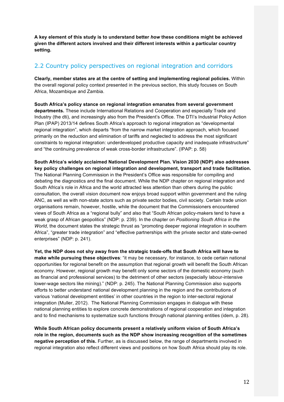**A key element of this study is to understand better** *how* **these conditions might be achieved given the different actors involved and their different interests within a particular country setting.** 

### 2.2 Country policy perspectives on regional integration and corridors

**Clearly, member states are at the centre of setting and implementing regional policies.** Within the overall regional policy context presented in the previous section, this study focuses on South Africa, Mozambique and Zambia.

**South Africa's policy stance on regional integration emanates from several government departments.** These include International Relations and Cooperation and especially Trade and Industry (the dti), and increasingly also from the President's Office. The DTI's Industrial Policy Action Plan (IPAP) 2013/14 defines South Africa's approach to regional integration as "developmental regional integration", which departs "from the narrow market integration approach, which focused primarily on the reduction and elimination of tariffs and neglected to address the most significant constraints to regional integration: underdeveloped productive capacity and inadequate infrastructure" and "the continuing prevalence of weak cross-border infrastructure". (IPAP: p. 58)

**South Africa's widely acclaimed National Development Plan. Vision 2030 (NDP) also addresses key policy challenges on regional integration and development, transport and trade facilitation.**  The National Planning Commission in the President's Office was responsible for compiling and debating the diagnostics and the final document. While the NDP chapter on regional integration and South Africa's role in Africa and the world attracted less attention than others during the public consultation, the overall vision document now enjoys broad support within government and the ruling ANC, as well as with non-state actors such as private sector bodies, civil society. Certain trade union organisations remain, however, hostile, while the document that the Commissioners encountered views of South Africa as a "regional bully" and also that "South African policy-makers tend to have a weak grasp of African geopolitics" (NDP: p. 239). In the chapter on *Positioning South Africa in the World,* the document states the strategic thrust as "promoting deeper regional integration in southern Africa", "greater trade integration" and "effective partnerships with the private sector and state-owned enterprises" (NDP: p. 241).

**Yet, the NDP does not shy away from the strategic trade-offs that South Africa will have to make while pursuing these objectives**: "it may be necessary, for instance, to cede certain national opportunities for regional benefit on the assumption that regional growth will benefit the South African economy. However, regional growth may benefit only some sectors of the domestic economy (such as financial and professional services) to the detriment of other sectors (especially labour-intensive lower-wage sectors like mining)." (NDP: p. 245). The National Planning Commission also supports efforts to better understand national development planning in the region and the contributions of various 'national development entities' in other countries in the region to inter-sectoral regional integration (Muller, 2012). The National Planning Commission engages in dialogue with these national planning entities to explore concrete demonstrations of regional cooperation and integration and to find mechanisms to systematize such functions through national planning entities (idem, p. 28).

**While South African policy documents present a relatively uniform vision of South Africa's role in the region, documents such as the NDP show increasing recognition of the sometimes negative perception of this.** Further, as is discussed below, the range of departments involved in regional integration also reflect different views and positions on how South Africa should play its role.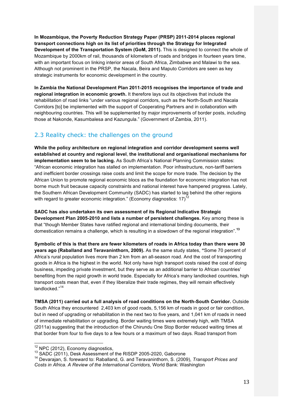**In Mozambique, the Poverty Reduction Strategy Paper (PRSP) 2011-2014 places regional transport connections high on its list of priorities through the Strategy for Integrated Development of the Transportation System (GoM, 2011).** This is designed to connect the whole of Mozambique by 2000km of rail, thousands of kilometers of roads and bridges in fourteen years time, with an important focus on linking interior areas of South Africa, Zimbabwe and Malawi to the sea. Although not prominent in the PRSP, the Nacala, Beira and Maputo Corridors are seen as key strategic instruments for economic development in the country.

**In Zambia the National Development Plan 2011-2015 recognises the importance of trade and regional integration in economic growth.** It therefore lays out its objectives that include the rehabilitation of road links "under various regional corridors, such as the North-South and Nacala Corridors [to] be implemented with the support of Cooperating Partners and in collaboration with neighbouring countries. This will be supplemented by major improvements of border posts, including those at Nakonde, Kasumbalesa and Kazungula." (Government of Zambia, 2011).

### 2.3 Reality check: the challenges on the ground

**While the policy architecture on regional integration and corridor development seems well established at country and regional level**, **the institutional and organisational mechanisms for implementation seem to be lacking.** As South Africa's National Planning Commission states: "African economic integration has stalled on implementation. Poor infrastructure, non-tariff barriers and inefficient border crossings raise costs and limit the scope for more trade. The decision by the African Union to promote regional economic blocs as the foundation for economic integration has not borne much fruit because capacity constraints and national interest have hampered progress. Lately, the Southern African Development Community (SADC) has started to lag behind the other regions with regard to greater economic integration." (Economy diagnostics:  $17$ )<sup>12</sup>

**SADC has also undertaken its own assessment of its Regional Indicative Strategic Development Plan 2005-2010 and lists a number of persistent challenges.** Key among these is that "though Member States have ratified regional and international binding documents, their domestication remains a challenge, which is resulting in a slowdown of the regional integration".**<sup>13</sup>**

**Symbolic of this is that there are fewer kilometers of roads in Africa today than there were 30 years ago (Raballand and Teravaninthorn, 2009).** As the same study states, **"**Some 70 percent of Africa's rural population lives more than 2 km from an all-season road. And the cost of transporting goods in Africa is the highest in the world. Not only have high transport costs raised the cost of doing business, impeding private investment, but they serve as an additional barrier to African countries' benefiting from the rapid growth in world trade. Especially for Africa's many landlocked countries, high transport costs mean that, even if they liberalize their trade regimes, they will remain effectively landlocked<sup>"14</sup>

**TMSA (2011) carried out a full analysis of road conditions on the North-South Corridor.** Outside South Africa they encountered 2,403 km of good roads, 5,156 km of roads in good or fair condition, but in need of upgrading or rehabilitation in the next two to five years, and 1,041 km of roads in need of immediate rehabilitation or upgrading. Border waiting times were extremely high, with TMSA (2011a) suggesting that the introduction of the Chirundu One Stop Border reduced waiting times at that border from four to five days to a few hours or a maximum of two days. Road transport from

 $^{12}$  NPC (2012), Economy diagnostics,<br> $^{13}$  SADC (2011), Desk Assessment of the RISDP 2005-2020, Gaborone

<sup>14</sup> Devarajan, S. foreward to: Raballand, G. and Teravaninthorn, S. (2009), *Transport Prices and Costs in Africa. A Review of the International Corridors,* World Bank: Washington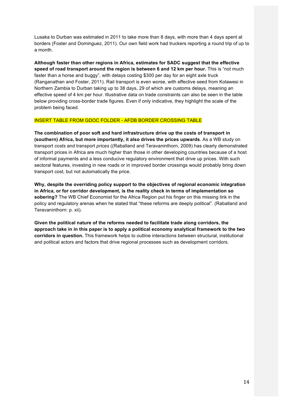Lusaka to Durban was estimated in 2011 to take more than 8 days, with more than 4 days spent at borders (Foster and Dominguez, 2011). Our own field work had truckers reporting a round trip of up to a month.

**Although faster than other regions in Africa, estimates for SADC suggest that the effective speed of road transport around the region is between 6 and 12 km per hour.** This is "not much faster than a horse and buggy", with delays costing \$300 per day for an eight axle truck (Ranganathan and Foster, 2011). Rail transport is even worse, with effective seed from Kolawesi in Northern Zambia to Durban taking up to 38 days, 29 of which are customs delays, meaning an effective speed of 4 km per hour. Illustrative data on trade constraints can also be seen in the table below providing cross-border trade figures. Even if only indicative, they highlight the scale of the problem being faced.

#### INSERT TABLE FROM GDOC FOLDER - AFDB BORDER CROSSING TABLE

**The combination of poor soft and hard infrastructure drive up the costs of transport in (southern) Africa, but more importantly, it also drives the prices upwards**. As a WB study on transport *costs* and transport *prices* ((Raballand and Teravaninthorn, 2009) has clearly demonstrated transport prices in Africa are much higher than those in other developing countries because of a host of informal payments and a less conducive regulatory environment that drive up prices. With such sectoral features, investing in new roads or in improved border crossings would probably bring down transport cost, but not automatically the price.

**Why, despite the overriding policy support to the objectives of regional economic integration in Africa, or for corridor development, is the reality check in terms of implementation so sobering?** The WB Chief Economist for the Africa Region put his finger on this missing link in the policy and regulatory arenas when he stated that "these reforms are deeply political". (Raballand and Teravaninthorn: p. xii).

**Given the political nature of the reforms needed to facilitate trade along corridors, the approach take in in this paper is to apply a political economy analytical framework to the two corridors in question.** This framework helps to outline interactions between structural, institutional and political actors and factors that drive regional processes such as development corridors.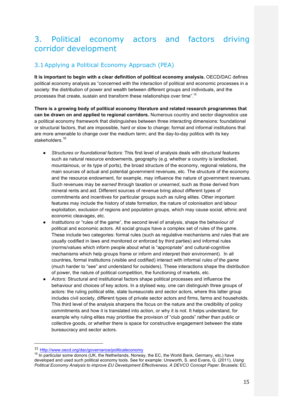# 3. Political economy actors and factors driving corridor development

# 3.1Applying a Political Economy Approach (PEA)

**It is important to begin with a clear definition of political economy analysis.** OECD/DAC defines political economy analysis as "concerned with the interaction of political and economic processes in a society: the distribution of power and wealth between different groups and individuals, and the processes that create, sustain and transform these relationships over time".<sup>15</sup>

**There is a growing body of political economy literature and related research programmes that can be drawn on and applied to regional corridors.** Numerous country and sector diagnostics use a political economy framework that distinguishes between three interacting dimensions: foundational or structural factors, that are impossible, hard or slow to change; formal and informal institutions that are more amenable to change over the medium term; and the day-to-day politics with its key stakeholders.<sup>16</sup>

- *Structures or foundational factors:* This first level of analysis deals with structural features such as natural resource endowments, geography (e.g. whether a country is landlocked, mountainous, or its type of ports), the broad structure of the economy, regional relations, the main sources of actual and potential government revenues, etc. The structure of the economy and the resource endowment, for example, may influence the nature of government revenues. Such revenues may be *earned* through taxation or *unearned*, such as those derived from mineral rents and aid. Different sources of revenue bring about different types of commitments and incentives for particular groups such as ruling elites. Other important features may include the history of state formation, the nature of colonisation and labour exploitation, exclusion of regions and population groups, which may cause social, ethnic and economic cleavages, etc.
- *Institutions* or "rules of the game", the second level of analysis, shape the behaviour of political and economic actors. All social groups have a complex set of rules of the game. These include two categories: formal rules (such as regulative mechanisms and rules that are usually codified in laws and monitored or enforced by third parties) and informal rules (norms/values which inform people about what is "appropriate" and cultural-cognitive mechanisms which help groups frame or inform and interpret their environment). In all countries, formal institutions (visible and codified) interact with informal *rules of the game* (much harder to "see" and understand for outsiders). These interactions shape the distribution of power, the nature of political competition, the functioning of markets, etc.
- Actors: Structural and institutional factors shape political processes and influence the behaviour and choices of key actors. In a stylised way, one can distinguish three groups of actors: the ruling political elite, state bureaucrats and sector actors, where this latter group includes civil society, different types of private sector actors and firms, farms and households. This third level of the analysis sharpens the focus on the nature and the credibility of policy commitments and how it is translated into action, or why it is not. It helps understand, for example why ruling elites may prioritise the provision of "club goods" rather than public or collective goods, or whether there is space for constructive engagement between the state bureaucracy and sector actors.

 

<sup>15</sup> Http://www.oecd.org/dac/governance/politicaleconomy

<sup>&</sup>lt;sup>16</sup> In particular some donors (UK, the Netherlands, Norway, the EC, the World Bank, Germany, etc.) have developed and used such political economy tools. See for example: Unsworth, S. and Evans, G. (2011), *Using Political Economy Analysis to improve EU Development Effectiveness. A DEVCO Concept Paper.* Brussels: EC.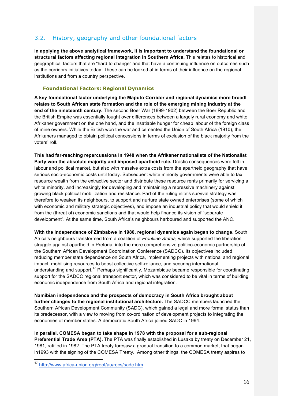# 3.2. History, geography and other foundational factors

**In applying the above analytical framework, it is important to understand the foundational or structural factors affecting regional integration in Southern Africa.** This relates to historical and geographical factors that are "hard to change" and that have a continuing influence on outcomes such as the corridors initiatives today. These can be looked at in terms of their influence on the regional institutions and from a country perspective.

#### **Foundational Factors: Regional Dynamics**

**A key foundational factor underlying the Maputo Corridor and regional dynamics more broadl relates to South African state formation and the role of the emerging mining industry at the end of the nineteenth century.** The second Boer War (1899-1902) between the Boer Republic and the British Empire was essentially fought over differences between a largely rural economy and white Afrikaner government on the one hand, and the insatiable hunger for cheap labour of the foreign class of mine owners. While the British won the war and cemented the Union of South Africa (1910), the Afrikaners managed to obtain political concessions in terms of exclusion of the black majority from the voters' roll.

**This had far-reaching repercussions in 1948 when the Afrikaner nationalists of the Nationalist Party won the absolute majority and imposed apartheid rule.** Drastic consequences were felt in labour and political market, but also with massive extra costs from the apartheid geography that have serious socio-economic costs until today. Subsequent white minority governments were able to tax resource wealth from the extractive sector and distribute these resource rents primarily for servicing a white minority, and increasingly for developing and maintaining a repressive machinery against growing black political mobilization and resistance. Part of the ruling elite's survival strategy was therefore to weaken its neighbours, to support and nurture state owned enterprises (some of which with economic and military strategic objectives), and impose an industrial policy that would shield it from the (threat of) economic sanctions and that would help finance its vision of "separate development". At the same time, South Africa's neighbours harboured and supported the ANC.

**With the independence of Zimbabwe in 1980, regional dynamics again began to change.** South Africa's neighbours transformed from a coalition of *Frontline States,* which supported the liberation struggle against apartheid in Pretoria, into the more comprehensive politico-economic partnership of the Southern African Development Coordination Conference (SADCC). Its objectives included reducing member state dependence on South Africa, implementing projects with national and regional impact, mobilising resources to boost collective self-reliance, and securing international understanding and support.<sup>17</sup> Perhaps significantly, Mozambique became responsible for coordinating support for the SADCC regional transport sector, which was considered to be vital in terms of building economic independence from South Africa and regional integration.

**Namibian independence and the prospects of democracy in South Africa brought about further changes to the regional institutional architecture.** The SADCC members launched the Southern African Development Community (SADC), which gained a legal and more formal status than its predecessor, with a view to moving from co-ordination of development projects to integrating the economies of member states. A democratic South Africa joined SADC in 1994.

**In parallel, COMESA began to take shape in 1978 with the proposal for a sub-regional Preferential Trade Area (PTA).** The PTA was finally established in Lusaka by treaty on December 21, 1981, ratified in 1982. The PTA treaty foresaw a gradual transition to a common market, that began in1993 with the signing of the COMESA Treaty. Among other things, the COMESA treaty aspires to

 <sup>17</sup> http://www.africa-union.org/root/au/recs/sadc.htm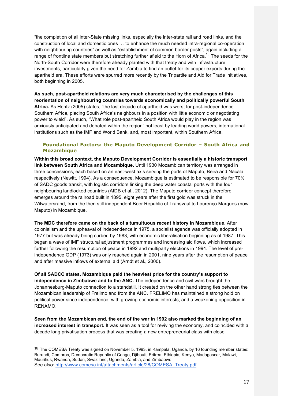"the completion of all inter-State missing links, especially the inter-state rail and road links, and the construction of local and domestic ones … to enhance the much needed intra-regional co-operation with neighbouring countries" as well as "establishment of common border posts", again including a range of frontline state members but stretching further afield to the Horn of Africa.<sup>18</sup> The seeds for the North-South Corridor were therefore already planted with that treaty and with infrastructure investments, particularly given the need for Zambia to find an outlet for its copper exports during the apartheid era. These efforts were spurred more recently by the Tripartite and Aid for Trade initiatives, both beginning in 2005.

**As such, post-apartheid relations are very much characterised by the challenges of this reorientation of neighbouring countries towards economically and politically powerful South Africa.** As Hentz (2005) states, "the last decade of apartheid was worst for post-independence Southern Africa, placing South Africa's neighbours in a position with little economic or negotiating power to wield". As such, "What role post-apartheid South Africa would play in the region was anxiously anticipated and debated within the region" not least by leading world powers, international institutions such as the IMF and World Bank, and, most important, within Southern Africa.

#### **Foundational Factors: the Maputo Development Corridor – South Africa and Mozambique**

**Within this broad context, the Maputo Development Corridor is essentially a historic transport link between South Africa and Mozambique.** Until 1930 Mozambican territory was arranged in three concessions, each based on an east-west axis serving the ports of Maputo, Beira and Nacala, respectively (Newitt, 1994). As a consequence, Mozambique is estimated to be responsible for 70% of SADC goods transit, with logistic corridors linking the deep water coastal ports with the four neighbouring landlocked countries (AfDB et al., 2012). The Maputo corridor concept therefore emerges around the railroad built in 1895, eight years after the first gold was struck in the Witwatersrand, from the then still independent Boer Republic of Transvaal to Lourenço Marques (now Maputo) in Mozambique.

**The MDC therefore came on the back of a tumultuous recent history in Mozambique.** After colonialism and the upheaval of independence in 1975, a socialist agenda was officially adopted in 1977 but was already being curbed by 1983, with economic liberalisation beginning as of 1987. This began a wave of IMF structural adjustment programmes and increasing aid flows, which increased further following the resumption of peace in 1992 and multiparty elections in 1994. The level of preindependence GDP (1973) was only reached again in 2001, nine years after the resumption of peace and after massive inflows of external aid (Arndt et al., 2000).

**Of all SADCC states, Mozambique paid the heaviest price for the country's support to independence in Zimbabwe and to the ANC.** The independence and civil wars brought the Johannesburg-Maputo connection to a standstill. It created on the other hand strong ties between the Mozambican leadership of Frelimo and from the ANC. FRELIMO has maintained a strong hold on political power since independence, with growing economic interests, and a weakening opposition in RENAMO.

**Seen from the Mozambican end, the end of the war in 1992 also marked the beginning of an increased interest in transport.** It was seen as a tool for reviving the economy, and coincided with a decade long privatisation process that was creating a new entrepreneurial class with close

 

<sup>18</sup> The COMESA Treaty was signed on November 5, 1993, in Kampala, Uganda, by 16 founding member states: Burundi, Comoros, Democratic Republic of Congo, Djibouti, Eritrea, Ethiopia, Kenya, Madagascar, Malawi, Mauritius, Rwanda, Sudan, Swaziland, Uganda, Zambia, and Zimbabwe. See also: http://www.comesa.int/attachments/article/28/COMESA\_Treaty.pdf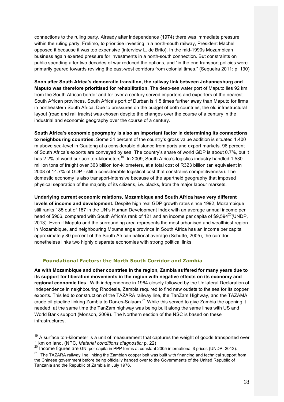connections to the ruling party. Already after independence (1974) there was immediate pressure within the ruling party, Frelimo, to prioritise investing in a north-south railway, President Machel opposed it because it was too expensive (interview L. de Brito). In the mid-1990s Mozambican business again exerted pressure for investments in a north-south connection. But constraints on public spending after two decades of war reduced the options, and "in the end transport policies were primarily geared towards reviving the east-west corridors from colonial times." (Sequeira 2011: p. 130)

**Soon after South Africa's democratic transition, the railway link between Johannesburg and Maputo was therefore prioritised for rehabilitation.** The deep-sea water port of Maputo lies 92 km from the South African border and for over a century served importers and exporters of the nearest South African provinces. South Africa's port of Durban is 1.5 times further away than Maputo for firms in northeastern South Africa. Due to pressures on the budget of both countries, the old infrastructural layout (road and rail tracks) was chosen despite the changes over the course of a century in the industrial and economic geography over the course of a century.

**South Africa's economic geography is also an important factor in determining its connections to neighbouring countries.** Some 34 percent of the country's gross value addition is situated 1.400 m above sea-level in Gauteng at a considerable distance from ports and export markets. 96 percent of South Africa's exports are conveyed by sea. The country's share of world GDP is about 0.7%, but it has 2.2% of world surface ton-kilometers<sup>19</sup>. In 2009, South Africa's logistics industry handled 1 530 million tons of freight over 363 billion ton-kilometers, at a total cost of R323 billion (an equivalent in 2008 of 14.7% of GDP - still a considerable logistical cost that constrains competitiveness). The domestic economy is also transport-intensive because of the apartheid geography that imposed physical separation of the majority of its citizens, i.e. blacks, from the major labour markets.

**Underlying current economic relations, Mozambique and South Africa have very different levels of income and development.** Despite high real GDP growth rates since 1992, Mozambique still ranks 185 out of 187 in the UN's Human Development Index with an average annual income per head of \$906, compared with South Africa's rank of 121 and an income per capita of \$9,594 $^{20}$ (UNDP, 2013). Even if Maputo and the surrounding area represents the most urbanised and wealthiest region in Mozambique, and neighbouring Mpumalanga province in South Africa has an income per capita approximately 80 percent of the South African national average (Schutte, 2005), the corridor nonetheless links two highly disparate economies with strong political links.

#### **Foundational Factors: the North South Corridor and Zambia**

**As with Mozambique and other countries in the region, Zambia suffered for many years due to its support for liberation movements in the region with negative effects on its economy and regional economic ties**. With independence in 1964 closely followed by the Unilateral Declaration of Independence in neighbouring Rhodesia, Zambia required to find new outlets to the sea for its copper exports. This led to construction of the TAZARA railway line, the TanZam Highway, and the TAZAMA crude oil pipeline linking Zambia to Dar-es-Salaam.<sup>21</sup> While this served to give Zambia the opening it needed, at the same time the TanZam highway was being built along the same lines with US and World Bank support (Monson, 2009). The Northern section of the NSC is based on these infrastructures.

 $19$  A surface ton-kilometer is a unit of measurement that captures the weight of goods transported over 1 km on land. (NPC, *Material conditions diagnostic:* p. 22) <sup>20</sup> Income figures are GNI per capita in PPP terms at constant 2005 international \$ prices (UNDP, 2013).

<sup>&</sup>lt;sup>21</sup> The TAZARA railway line linking the Zambian copper belt was built with financing and technical support from the Chinese government before being officially handed over to the Governments of the United Republic of Tanzania and the Republic of Zambia in July 1976.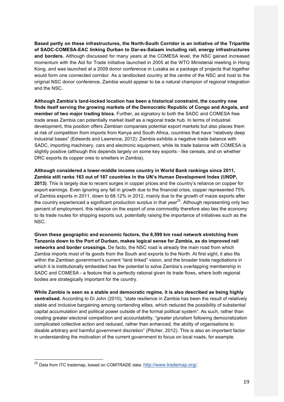**Based partly on these infrastructures, the North-South Corridor is an initiative of the Tripartite of SADC-COMESA-EAC linking Durban to Dar-es-Salaam including rail, energy infrastructures and borders.** Although discussed for many years at the COMESA level, the NSC gained increased momentum with the Aid for Trade initiative launched in 2005 at the WTO Ministerial meeting in Hong Kong, and was launched at a 2009 donor conference in Lusaka as a package of projects that together would form one connected corridor. As a landlocked country at the centre of the NSC and host to the original NSC donor conference, Zambia would appear to be a natural champion of regional integration and the NSC.

**Although Zambia's land-locked location has been a historical constraint, the country now finds itself serving the growing markets of the Democratic Republic of Congo and Angola, and member of two major trading blocs.** Further, as signatory to both the SADC and COMESA free trade areas Zambia can potentially market itself as a regional trade hub. In terms of industrial development, this position offers Zambian companies potential export markets but also places them at risk of competition from imports from Kenya and South Africa, countries that have "relatively deep industrial bases" (Edwards and Lawrence, 2012): Zambia exhibits a negative trade balance with SADC, importing machinery, cars and electronic equipment, while its trade balance with COMESA is slightly positive (although this depends largely on some key exports - like cereals, and on whether DRC exports its copper ores to smelters in Zambia).

**Although considered a lower-middle income country in World Bank rankings since 2011, Zambia still ranks 163 out of 187 countries in the UN's Human Development Index (UNDP, 2013)**. This is largely due to recent surges in copper prices and the country's reliance on copper for export earnings. Even ignoring any fall in growth due to the financial crisis, copper represented 75% of Zambia exports in 2011, down to 68.12% in 2012, mainly due to the growth of maize exports after the country experienced a significant production surplus in that year $^{22}$ . Although representing only two percent of employment, this reliance on the export of one commodity therefore also ties the economy to its trade routes for shipping exports out, potentially raising the importance of initiatives such as the NSC.

**Given these geographic and economic factors, the 8,599 km road network stretching from Tanzania down to the Port of Durban, makes logical sense for Zambia, as do improved rail networks and border crossings.** De facto, the NSC road is already the main road from which Zambia imports most of its goods from the South and exports to the North. At first sight, it also fits within the Zambian government's current "land linked" vision, and the broader trade negotiations in which it is institutionally embedded has the potential to solve Zambia's overlapping membership in SADC and COMESA - a feature that is perfectly rational given its trade flows, where both regional bodies are strategically important for the country.

**While Zambia is seen as a stable and democratic regime, it is also described as being highly centralised.** According to Di John (2010), "state resilience in Zambia has been the result of relatively stable and inclusive bargaining among contending elites, which reduced the possibility of substantial capital accumulation and political power outside of the formal political system". As such, rather than creating greater electoral competition and accountability, "greater pluralism following democratization complicated collective action and reduced, rather than enhanced, the ability of organisations to disable arbitrary and harmful government discretion" (Pitcher, 2012). This is also an important factor in understanding the motivation of the current government to focus on local roads, for example.

<sup>&</sup>lt;sup>22</sup> Data from ITC trademap, based on COMTRADE data: http://www.trademap.org/.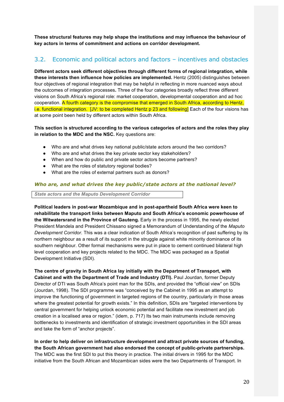**These structural features may help shape the institutions and may influence the behaviour of key actors in terms of commitment and actions on corridor development.** 

# 3.2. Economic and political actors and factors – incentives and obstacles

**Different actors seek different objectives through different forms of regional integration, while these interests then influence how policies are implemented.** Hentz (2005) distinguishes between four objectives of regional integration that may be helpful in reflecting in more nuanced ways about the outcomes of integration processes**.** Three of the four categories broadly reflect three different visions on South Africa's regional role: market cooperation, developmental cooperation and ad hoc cooperation. A fourth category is the compromise that emerged in South Africa, according to Hentz, i.e. functional integration. [JV: to be completed Hentz p 23 and following] Each of the four visions has at some point been held by different actors within South Africa.

**This section is structured according to the various categories of actors and the roles they play in relation to the MDC and the NSC.** Key questions are:

- Who are and what drives key national public/state actors around the two corridors?
- Who are and what drives the key private sector key stakeholders?
- When and how do public and private sector actors become partners?
- What are the roles of statutory regional bodies?
- What are the roles of external partners such as donors?

#### *Who are, and what drives the key public/state actors at the national level?*

*State actors and the Maputo Development Corridor*

**Political leaders in post-war Mozambique and in post-apartheid South Africa were keen to rehabilitate the transport links between Maputo and South Africa's economic powerhouse of the Witwatersrand in the Province of Gauteng.** Early in the process in 1995, the newly elected President Mandela and President Chissano signed a Memorandum of Understanding of the *Maputo Development Corridor.* This was a clear indication of South Africa's recognition of past suffering by its northern neighbour as a result of its support in the struggle against white minority dominance of its southern neighbour. Other formal mechanisms were put in place to cement continued bilateral high level cooperation and key projects related to the MDC. The MDC was packaged as a Spatial Development Initiative (SDI).

**The centre of gravity in South Africa lay initially with the Department of Transport, with Cabinet and with the Department of Trade and Industry (DTI).** Paul Jourdan, former Deputy Director of DTI was South Africa's point man for the SDIs, and provided the "official view" on SDIs (Jourdan, 1998). The SDI programme was "conceived by the Cabinet in 1995 as an attempt to improve the functioning of government in targeted regions of the country, particularly in those areas where the greatest potential for growth exists." In this definition, SDIs are "targeted interventions by central government for helping unlock economic potential and facilitate new investment and job creation in a localised area or region." (idem, p. 717) Its two main instruments include removing bottlenecks to investments and identification of strategic investment opportunities in the SDI areas and take the form of "anchor projects".

**In order to help deliver on infrastructure development and attract private sources of funding, the South African government had also endorsed the concept of public-private partnerships.** The MDC was the first SDI to put this theory in practice. The initial drivers in 1995 for the MDC initiative from the South African and Mozambican sides were the two Departments of Transport. In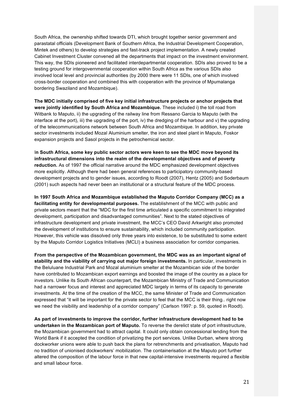South Africa, the ownership shifted towards DTI, which brought together senior government and parastatal officials (Development Bank of Southern Africa, the Industrial Development Cooperation, Mintek and others) to develop strategies and fast-track project implementation. A newly created Cabinet Investment Cluster convened all the departments that impact on the investment environment. This way, the SDIs pioneered and facilitated interdepartmental cooperation. SDIs also proved to be a testing ground for intergovernmental cooperation within South Africa as the various SDIs also involved local level and provincial authorities (by 2000 there were 11 SDIs, one of which involved cross-border cooperation and combined this with cooperation with the province of Mpumalanga bordering Swaziland and Mozambique).

**The MDC initially comprised of five key initial infrastructure projects or anchor projects that were jointly identified by South Africa and Mozambique.** These included i) the toll road from Witbank to Maputo, ii) the upgrading of the railway line from Ressano Garcia to Maputo (with the interface at the port), iii) the upgrading of the port, iv) the dredging of the harbour and v) the upgrading of the telecommunications network between South Africa and Mozambique. In addition, key private sector investments included Mozal Aluminium smelter, the iron and steel plant in Maputo, Foskor expansion projects and Sasol projects in the petrochemical sector.

I**n South Africa, some key public sector actors were keen to see the MDC move beyond its infrastructural dimensions into the realm of the developmental objectives and of poverty reduction.** As of 1997 the official narrative around the MDC emphasized development objectives more explicitly. Although there had been general references to participatory community-based development projects and to gender issues, according to Roodt (2007), Hentz (2005) and Soderbaum (2001) such aspects had never been an institutional or a structural feature of the MDC process.

**In 1997 South Africa and Mozambique established the Maputo Corridor Company (MCC) as a facilitating entity for developmental purposes.** The establishment of the MCC with public and private sectors meant that the "MDC for the first time articulated a specific commitment to integrated development, participation and disadvantaged communities". Next to the stated objectives of infrastructure development and private investment, the MCC's CEO David Arkwright also promoted the development of institutions to ensure sustainability, which included community participation. However, this vehicle was dissolved only three years into existence, to be substituted to some extent by the Maputo Corridor Logistics Initiatives (MCLI) a business association for corridor companies.

**From the perspective of the Mozambican government, the MDC was as an important signal of stability and the viability of carrying out major foreign investments.** In particular, investments in the Beluluane Industrial Park and Mozal aluminium smelter at the Mozambican side of the border have contributed to Mozambican export earnings and boosted the image of the country as a place for investors. Unlike its South African counterpart, the Mozambican Ministry of Trade and Communication had a narrower focus and interest and appreciated MDC largely in terms of its capacity to generate investments. At the time of the creation of the MCC, the same Minister of Trade and Communication expressed that "it will be important for the private sector to feel that the MCC is their thing.. right now we need the visibility and leadership of a corridor company" (Carlson 1997: p. 59, quoted in Roodt).

**As part of investments to improve the corridor, further infrastructure development had to be undertaken in the Mozambican port of Maputo.** To reverse the derelict state of port infrastructure, the Mozambican government had to attract capital. It could only obtain concessional lending from the World Bank if it accepted the condition of privatizing the port services. Unlike Durban, where strong dockworker unions were able to push back the plans for retrenchments and privatisation, Maputo had no tradition of unionised dockworkers' mobilization. The containerisation at the Maputo port further altered the composition of the labour force in that new capital-intensive investments required a flexible and small labour force.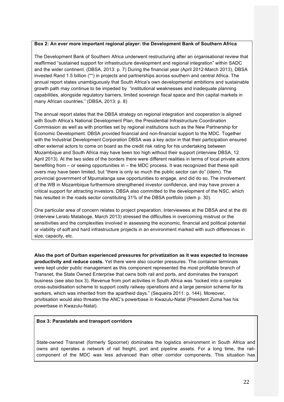#### **Box 2: An ever more important regional player: the Development Bank of Southern Africa**

The Development Bank of Southern Africa underwent restructuring after an organisational review that reaffirmed "sustained support for infrastructure development and regional integration" within SADC and the wider continent. (DBSA, 2013: p. 7) During the financial year (April 2012-March 2013), DBSA invested Rand 1.5 billion (\*\*) in projects and partnerships across southern and central Africa. The annual report states unambiguously that South Africa's own developmental ambitions and sustainable growth path may continue to be impeded by "institutional weaknesses and inadequate planning capabilities, alongside regulatory barriers, limited sovereign fiscal space and thin capital markets in many African countries." (DBSA, 2013: p. 8)

The annual report states that the DBSA strategy on regional integration and cooperation is aligned with South Africa's National Development Plan, the Presidential Infrastructure Coordination Commission as well as with priorities set by regional institutions such as the New Partnership for Economic Development. DBSA provided financial and non-financial support to the MDC. Together with the Industrial Development Corporation DBSA was a key actor in that their participation ensured other external actors to come on board as the credit risk rating for his undertaking between Mozambique and South Africa may have been too high without their support (interview DBSA, 12 April 2013). At the two sides of the borders there were different realities in terms of local private actors benefiting from – or seeing opportunities in – the MDC process. It was recognized that these spill overs may have been limited, but "there is only so much the public sector can do" (idem). The provincial government of Mpumalanga saw opportunities to engage, and did do so. The involvement of the WB in Mozambique furthermore strengthened investor confidence, and may have proven a critical support for attracting investors. DBSA also committed to the development of the NSC, which has resulted in the roads sector constituting 31% of the DBSA portfolio (idem p. 30).

One particular area of concern relates to project preparation. Interviewees at the DBSA and at the dti (interview Lerato Mataboge, March 2013) stressed the difficulties in overcoming mistrust or the sensitivities and the complexities involved in assessing the economic, financial and political potential or viability of soft and hard infrastructure projects in an environment marked with such differences in size, capacity, etc.

**Also the port of Durban experienced pressures for privatization as it was expected to increase productivity and reduce costs.** Yet there were also counter pressures. The container terminals were kept under public management as this component represented the most profitable branch of Transnet, the State Owned Enterprise that owns both rail and ports, and dominates the transport business (see also box 3). Revenue from port activities in South Africa was "locked into a complex cross-subsidisation scheme to support costly railway operations and a large pension scheme for its workers, which was inherited from the apartheid days." (Sequeira 2011: p. 144). Moreover, privitisation would also threaten the ANC's powerbase in Kwazulu-Natal (President Zuma has his powerbase in Kwazulu-Natal).

#### **Box 3: Parastatals and transport corridors**

State-owned Transnet (formerly Spoornet) dominates the logistics environment in South Africa and owns and operates a network of rail freight, port and pipeline assets. For a long time, the railcomponent of the MDC was less advanced than other corridor components. This situation has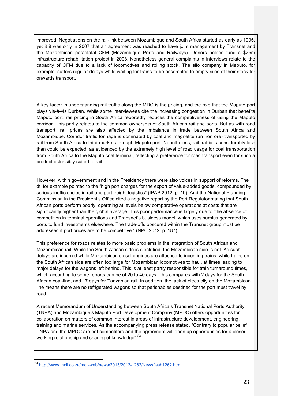improved. Negotiations on the rail-link between Mozambique and South Africa started as early as 1995, yet it it was only in 2007 that an agreement was reached to have joint management by Transnet and the Mozambican parastatal CFM (Mozambique Ports and Railways). Donors helped fund a \$25m infrastructure rehabilitation project in 2008. Nonetheless general complaints in interviews relate to the capacity of CFM due to a lack of locomotives and rolling stock. The silo company in Maputo, for example, suffers regular delays while waiting for trains to be assembled to empty silos of their stock for onwards transport.

A key factor in understanding rail traffic along the MDC is the pricing, and the role that the Maputo port plays vis-à-vis Durban. While some interviewees cite the increasing congestion in Durban that benefits Maputo port, rail pricing in South Africa reportedly reduces the competitiveness of using the Maputo corridor. This partly relates to the common ownership of South African rail and ports. But as with road transport, rail prices are also affected by the imbalance in trade between South Africa and Mozambique. Corridor traffic tonnage is dominated by coal and magnetite (an iron ore) transported by rail from South Africa to third markets through Maputo port. Nonetheless, rail traffic is considerably less than could be expected, as evidenced by the extremely high level of road usage for coal transportation from South Africa to the Maputo coal terminal, reflecting a preference for road transport even for such a product ostensibly suited to rail.

However, within government and in the Presidency there were also voices in support of reforms. The dti for example pointed to the "high port charges for the export of value-added goods, compounded by serious inefficiencies in rail and port freight logistics" (IPAP 2012: p. 19). And the National Planning Commission in the President's Office cited a negative report by the Port Regulator stating that South African ports perform poorly, operating at levels below comparative operations at costs that are significantly higher than the global average. This poor performance is largely due to "the absence of competition in terminal operations and Transnet's business model, which uses surplus generated by ports to fund investments elsewhere. The trade-offs obscured within the Transnet group must be addressed if port prices are to be competitive." (NPC 2012: p. 187).

This preference for roads relates to more basic problems in the integration of South African and Mozambican rail. While the South African side is electrified, the Mozambican side is not. As such, delays are incurred while Mozambican diesel engines are attached to incoming trains, while trains on the South African side are often too large for Mozambican locomotives to haul, at times leading to major delays for the wagons left behind. This is at least partly responsible for train turnaround times, which according to some reports can be of 20 to 40 days. This compares with 2 days for the South African coal-line, and 17 days for Tanzanian rail. In addition, the lack of electricity on the Mozambican line means there are no refrigerated wagons so that perishables destined for the port must travel by road.

A recent Memorandum of Understanding between South Africa's Transnet National Ports Authority (TNPA) and Mozambique's Maputo Port Development Company (MPDC) offers opportunities for collaboration on matters of common interest in areas of infrastructure development, engineering, training and marine services**.** As the accompanying press release stated, "Contrary to popular belief TNPA and the MPDC are not competitors and the agreement will open up opportunities for a closer working relationship and sharing of knowledge".<sup>23</sup>

 <sup>23</sup> http://www.mcli.co.za/mcli-web/news/2013/2013-1262/Newsflash1262.htm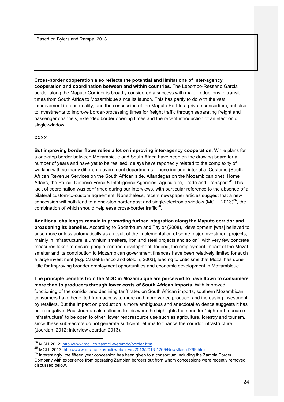Based on Byiers and Rampa, 2013.

**Cross-border cooperation also reflects the potential and limitations of inter-agency cooperation and coordination between and within countries.** The Lebombo-Ressano Garcia border along the Maputo Corridor is broadly considered a success with major reductions in transit times from South Africa to Mozambique since its launch. This has partly to do with the vast improvement in road quality, and the concession of the Maputo Port to a private consortium, but also to investments to improve border-processing times for freight traffic through separating freight and passenger channels, extended border opening times and the recent introduction of an electronic single-window.

#### XXXX

**But improving border flows relies a lot on improving inter-agency cooperation.** While plans for a one-stop border between Mozambique and South Africa have been on the drawing board for a number of years and have yet to be realised, delays have reportedly related to the complexity of working with so many different government departments. These include, inter alia, Customs (South African Revenue Services on the South African side, Alfandegas on the Mozambican one), Home Affairs, the Police, Defense Force & Intelligence Agencies, Agriculture, Trade and Transport.<sup>24</sup> This lack of coordination was confirmed during our interviews, with particular reference to the absence of a bilateral custom-to-custom agreement. Nonetheless, recent newspaper articles suggest that a new concession will both lead to a one-stop border post and single-electronic window (MCLI, 2013)<sup>25</sup>, the combination of which should help ease cross-border traffic<sup>26</sup>.

**Additional challenges remain in promoting further integration along the Maputo corridor and broadening its benefits.** According to Soderbaum and Taylor (2008), "development [was] believed to arise more or less automatically as a result of the implementation of some major investment projects, mainly in infrastructure, aluminium smelters, iron and steel projects and so on", with very few concrete measures taken to ensure people-centred development. Indeed, the employment impact of the Mozal smelter and its contribution to Mozambican government finances have been relatively limited for such a large investment (e.g. Castel-Branco and Goldin, 2003), leading to criticisms that Mozal has done little for improving broader employment opportunities and economic development in Mozambique.

**The principle benefits from the MDC in Mozambique are perceived to have flown to consumers more than to producers through lower costs of South African imports.** With improved functioning of the corridor and declining tariff rates on South African imports, southern Mozambican consumers have benefited from access to more and more varied produce, and increasing investment by retailers. But the impact on production is more ambiguous and anecdotal evidence suggests it has been negative. Paul Jourdan also alludes to this when he highlights the need for "high-rent resource infrastructure" to be open to other, lower rent resource use such as agriculture, forestry and tourism, since these sub-sectors do not generate sufficient returns to finance the corridor infrastructure (Jourdan, 2012; interview Jourdan 2013).

 <sup>24</sup> MCLI 2012: http://www.mcli.co.za/mcli-web/mdc/border.htm

<sup>25</sup> MCLI, 2013, http://www.mcli.co.za/mcli-web/news/2013/2013-1269/Newsflash1269.htm

<sup>26</sup> Interestingly, the fifteen year concession has been given to a consortium including the Zambia Border Company with experience from operating Zambian borders but from whom concessions were recently removed, discussed below.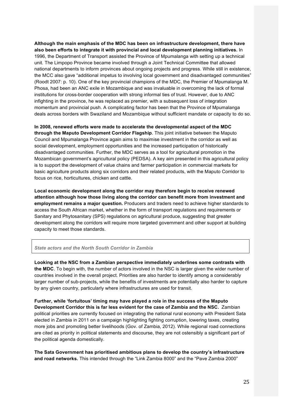**Although the main emphasis of the MDC has been on infrastructure development, there have also been efforts to integrate it with provincial and local development planning initiatives.** In 1996, the Department of Transport assisted the Province of Mpumalanga with setting up a technical unit. The Limpopo Province became involved through a Joint Technical Committee that allowed national departments to inform provinces about ongoing projects and progress. While still in existence, the MCC also gave "additional impetus to involving local government and disadvantaged communities" (Roodt 2007: p. 10). One of the key provincial champions of the MDC, the Premier of Mpumalanga M. Phosa, had been an ANC exile in Mozambique and was invaluable in overcoming the lack of formal institutions for cross-border cooperation with strong informal ties of trust. However, due to ANC infighting in the province, he was replaced as premier, with a subsequent loss of integration momentum and provincial push. A complicating factor has been that the Province of Mpumalanga deals across borders with Swaziland and Mozambique without sufficient mandate or capacity to do so.

**In 2008, renewed efforts were made to accelerate the developmental aspect of the MDC through the Maputo Development Corridor Flagship**. This joint initiative between the Maputo Council and Mpumalanga Province again aims to maximise investment in the corridor as well as social development, employment opportunities and the increased participation of historically disadvantaged communities. Further, the MDC serves as a tool for agricultural promotion in the Mozambican government's agricultural policy (PEDSA). A key aim presented in this agricultural policy is to support the development of value chains and farmer participation in commercial markets for basic agriculture products along six corridors and their related products, with the Maputo Corridor to focus on rice, horticultures, chicken and cattle.

**Local economic development along the corridor may therefore begin to receive renewed attention although how those living along the corridor can benefit more from investment and employment remains a major question.** Producers and traders need to achieve higher standards to access the South African market, whether in the form of transport regulations and requirements or Sanitary and Phytosanitary (SPS) regulations on agricultural produce, suggesting that greater development along the corridors will require more targeted government and other support at building capacity to meet those standards.

#### *State actors and the North South Corridor in Zambia*

**Looking at the NSC from a Zambian perspective immediately underlines some contrasts with the MDC**. To begin with, the number of actors involved in the NSC is larger given the wider number of countries involved in the overall project. Priorities are also harder to identify among a considerably larger number of sub-projects, while the benefits of investments are potentially also harder to capture by any given country, particularly where infrastructures are used for transit.

**Further, while 'fortuitous' timing may have played a role in the success of the Maputo Development Corridor this is far less evident for the case of Zambia and the NSC.** Zambian political priorities are currently focused on integrating the national rural economy with President Sata elected in Zambia in 2011 on a campaign highlighting fighting corruption, lowering taxes, creating more jobs and promoting better livelihoods (Gov. of Zambia, 2012). While regional road connections are cited as priority in political statements and discourse, they are not ostensibly a significant part of the political agenda domestically.

**The Sata Government has prioritised ambitious plans to develop the country's infrastructure and road networks.** This intended through the "Link Zambia 8000" and the "Pave Zambia 2000"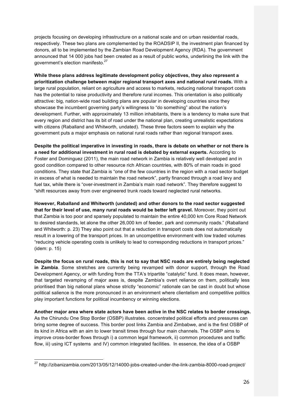projects focusing on developing infrastructure on a national scale and on urban residential roads, respectively. These two plans are complemented by the ROADSIP II, the investment plan financed by donors, all to be implemented by the Zambian Road Development Agency (RDA). The government announced that 14 000 jobs had been created as a result of public works, underlining the link with the government's election manifesto.<sup>27</sup>

**While these plans address legitimate development policy objectives, they also represent a prioritization challenge between major regional transport axes and national rural roads.** With a large rural population, reliant on agriculture and access to markets, reducing national transport costs has the potential to raise productivity and therefore rural incomes. This orientation is also politically attractive: big, nation-wide road building plans are popular in developing countries since they showcase the incumbent governing party's willingness to "do something" about the nation's development. Further, with approximately 13 million inhabitants, there is a tendency to make sure that every region and district has its bit of road under the national plan, creating unrealistic expectations with citizens (Raballand and Whitworth, undated). These three factors seem to explain why the government puts a major emphasis on national rural roads rather than regional transport axes.

**Despite the political imperative in investing in roads, there is debate on whether or not there is a need for additional investment in rural road is debated by external experts.** According to Foster and Dominguez (2011), the main road network in Zambia is relatively well developed and in good condition compared to other resource rich African countries, with 80% of main roads in good conditions. They state that Zambia is "one of the few countries in the region with a road sector budget in excess of what is needed to maintain the road network", partly financed through a road levy and fuel tax, while there is "over-investment in Zambia's main road network". They therefore suggest to "shift resources away from over engineered trunk roads toward neglected rural networks.

**However, Raballand and Whitworth (undated) and other donors to the road sector suggested that for their level of use, many rural roads would be better left gravel.** Moreover, they point out that Zambia is too poor and sparsely populated to maintain the entire 40,000 km Core Road Network to desired standards, let alone the other 26,000 km of feeder, park and community roads." (Raballand and Whitworth: p. 23) They also point out that a reduction in transport costs does not automatically result in a lowering of the transport prices. In an uncompetitive environment with low traded volumes "reducing vehicle operating costs is unlikely to lead to corresponding reductions in transport prices." (idem: p. 15)

**Despite the focus on rural roads, this is not to say that NSC roads are entirely being neglected in Zambia**. Some stretches are currently being revamped with donor support, through the Road Development Agency, or with funding from the TTA's tripartite "catalytic" fund. It does mean, however, that targeted revamping of major axes is, despite Zambia's overt reliance on them, politically less prioritised than big national plans whose strictly "economic" rationale can be cast in doubt but whose political salience is the more pronounced in an environment where clientelism and competitive politics play important functions for political incumbency or winning elections.

**Another major area where state actors have been active in the NSC relates to border crossings.** As the Chirundu One Stop Border (OSBP) illustrates. concentrated political efforts and pressures can bring some degree of success. This border post links Zambia and Zimbabwe, and is the first OSBP of its kind in Africa with an aim to lower transit times through four main channels. The OSBP aims to improve cross-border flows through i) a common legal framework, ii) common procedures and traffic flow, iii) using ICT systems and IV) common integrated facilities. In essence, the idea of a OSBP

 <sup>27</sup> http://zibanizambia.com/2013/05/12/14000-jobs-created-under-the-link-zambia-8000-road-project/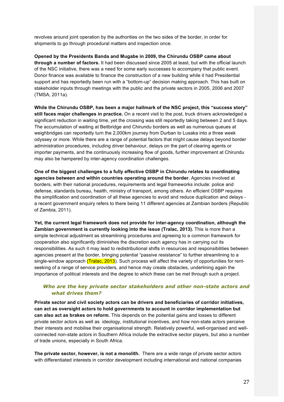revolves around joint operation by the authorities on the two sides of the border, in order for shipments to go through procedural matters and inspection once.

**Opened by the Presidents Banda and Mugabe in 2009, the Chirundu OSBP came about through a number of factors.** It had been discussed since 2005 at least, but with the official launch of the NSC initiative, there was a need for some early successes to accompany that public event. Donor finance was available to finance the construction of a new building while it had Presidential support and has reportedly been run with a "bottom-up" decision making approach. This has built on stakeholder inputs through meetings with the public and the private sectors in 2005, 2006 and 2007 (TMSA, 2011a).

**While the Chirundu OSBP, has been a major hallmark of the NSC project, this "success story" still faces major challenges in practice.** On a recent visit to the post, truck drivers acknowledged a significant reduction in waiting time, yet the crossing was still reportedly taking between 2 and 5 days. The accumulation of waiting at Beitbridge and Chirundu borders as well as numerous queues at weighbridges can reportedly turn the 2,000km journey from Durban to Lusaka into a three week odyssey or more. While there are a range of potential factors that might cause delays beyond border administration procedures, including driver behaviour, delays on the part of clearing agents or importer payments, and the continuously increasing flow of goods, further improvement at Chirundu may also be hampered by inter-agency coordination challenges.

**One of the biggest challenges to a fully effective OSBP in Chirundu relates to coordinating agencies between and within countries operating around the border.** Agencies involved at borders, with their national procedures, requirements and legal frameworks include: police and defense, standards bureau, health, ministry of transport, among others. An efficient OSBP requires the simplification and coordination of all these agencies to avoid and reduce duplication and delays a recent government enquiry refers to there being 11 different agencies at Zambian borders (Republic of Zambia, 2011).

**Yet, the current legal framework does not provide for inter-agency coordination, although the Zambian government is currently looking into the issue (Tralac, 2013).** This is more than a simple technical adjustment as streamlining procedures and agreeing to a common framework for cooperation also significantly diminishes the discretion each agency has in carrying out its responsibilities. As such it may lead to redistributional shifts in resources and responsibilities between agencies present at the border, bringing potential "passive resistance" to further streamlining to a single-window approach (Tralac, 2013). Such process will affect the variety of opportunities for rentseeking of a range of service providers, and hence may create obstacles, underlining again the importance of political interests and the degree to which these can be met through such a project.

#### *Who are the key private sector stakeholders and other non-state actors and what drives them?*

**Private sector and civil society actors can be drivers and beneficiaries of corridor initiatives, can act as oversight actors to hold governments to account in corridor implementation but can also act as brakes on reform.** This depends on the poitential gains and losses to different private sector actors as well as ideology, institutional incentives, and how non-state actors perceive their interests and mobilise their organisational strength. Relatively powerful, well-organised and wellconnected non-state actors in Southern Africa include the extractive sector players, but also a number of trade unions, especially in South Africa.

**The private sector, however, is not a monolith.** There are a wide range of private sector actors with differentiated interests in corridor development including international and national companies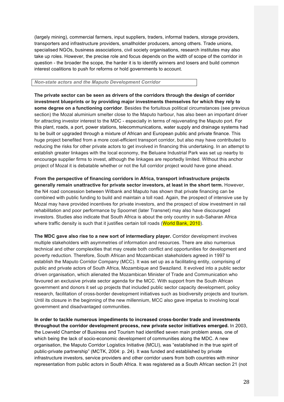(largely mining), commercial farmers, input suppliers, traders, informal traders, storage providers, transporters and infrastructure providers, smallholder producers, among others. Trade unions, specialised NGOs, business associations, civil society organisations, research institutes may also take up roles. However, the precise role and focus depends on the width of scope of the corridor in question - the broader the scope, the harder it is to identify winners and losers and build common interest coalitions to push for reforms or hold governments to account.

#### *Non-state actors and the Maputo Development Corridor*

**The private sector can be seen as drivers of the corridors through the design of corridor investment blueprints or by providing major investments themselves for which they rely to some degree on a functioning corridor**. Besides the fortuitous political circumstances (see previous section) the Mozal aluminium smelter close to the Maputo harbour, has also been an important driver for attracting investor interest to the MDC - especially in terms of rejuvenating the Maputo port. For this plant, roads, a port, power stations, telecommunications, water supply and drainage systems had to be built or upgraded through a mixture of African and European public and private finance. This huge project benefited from a more cost-efficient transport corridor, but also may have contributed to reducing the risks for other private actors to get involved in financing this undertaking. In an attempt to establish greater linkages with the local economy, the Beluane Industrial Park was set up nearby to encourage supplier firms to invest, although the linkages are reportedly limited. Without this anchor project of Mozal it is debatable whether or not the full corridor project would have gone ahead.

**From the perspective of financing corridors in Africa, transport infrastructure projects generally remain unattractive for private sector investors, at least in the short term.** However, the N4 road concession between Witbank and Maputo has shown that private financing can be combined with public funding to build and maintain a toll road. Again, the prospect of intensive use by Mozal may have provided incentives for private investors, and the prospect of slow investment in rail rehabilitation and poor performance by Spoornet (later Transnet) may also have discouraged investors. Studies also indicate that South Africa is about the only country in sub-Saharan Africa where traffic density is such that it justifies certain toll roads (World Bank, 2010).

**The MDC gave also rise to a new sort of intermediary player.** Corridor development involves multiple stakeholders with asymmetries of information and resources. There are also numerous technical and other complexities that may create both conflict and opportunities for development and poverty reduction. Therefore, South African and Mozambican stakeholders agreed in 1997 to establish the Maputo Corridor Company (MCC). It was set up as a facilitating entity, comprising of public and private actors of South Africa, Mozambique and Swaziland. It evolved into a public sector driven organisation, which alienated the Mozambican Minister of Trade and Communication who favoured an exclusive private sector agenda for the MCC. With support from the South African government and donors it set up projects that included public sector capacity development, policy research, facilitation of cross-border development initiatives such as biodiversity projects and tourism. Until its closure in the beginning of the new millennium, MCC also gave impetus to involving local government and disadvantaged communities.

**In order to tackle numerous impediments to increased cross-border trade and investments throughout the corridor development process, new private sector initiatives emerged.** In 2003, the Lowveld Chamber of Business and Tourism had identified seven main problem areas, one of which being the lack of socio-economic development of communities along the MDC. A new organisation, the Maputo Corridor Logistics Initiative (MCLI), was "established in the true spirit of public-private partnership" (MCTK, 2004: p. 24). It was funded and established by private infrastructure investors, service providers and other corridor users from both countries with minor representation from public actors in South Africa. It was registered as a South African section 21 (not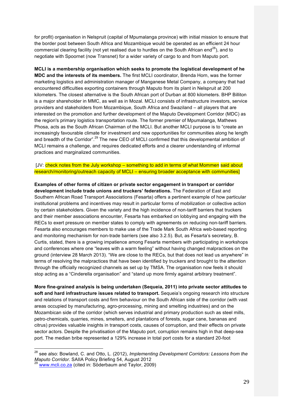for profit) organisation in Nelspruit (capital of Mpumalanga province) with initial mission to ensure that the border post between South Africa and Mozambique would be operated as an efficient 24 hour commercial clearing facility (not yet realised due to hurdles on the South African end<sup>28</sup>), and to negotiate with Spoornet (now Transnet) for a wider variety of cargo to and from Maputo port.

**MCLI is a membership organisation which seeks to promote the logistical development of he MDC and the interests of its members.** The first MCLI coordinator, Brenda Horn, was the former marketing logistics and administration manager of Manganese Metal Company, a company that had encountered difficulties exporting containers through Maputo from its plant in Nelspruit at 200 kilometers. The closest alternative is the South African port of Durban at 800 kilometers. BHP Billiton is a major shareholder in MMC, as well as in Mozal. MCLI consists of infrastructure investors, service providers and stakeholders from Mozambique, South Africa and Swaziland – all players that are interested on the promotion and further development of the Maputo Development Corridor (MDC) as the region's primary logistics transportation route. The former premier of Mpumalanga, Mathews Phosa, acts as the South African Chairman of the MCLI. But another MCLI purpose is to "create an increasingly favourable climate for investment and new opportunities for communities along he length and breadth of the Corridor".<sup>29</sup> The new CEO of MCLI confirmed that this developmental ambition of MCLI remains a challenge, and requires dedicated efforts and a clearer understanding of informal practices and marginalized communities.

[JV: check notes from the July workshop – something to add in terms of what Mommen said about research/monitoring/outreach capacity of MCLI – ensuring broader acceptance with communities]

**Examples of other forms of citizen or private sector engagement in transport or corridor development include trade unions and truckers' federations.** The Federation of East and Southern African Road Transport Associations (Fesarta) offers a pertinent example of how particular institutional problems and incentives may result in particular forms of mobilization or collective action by certain stakeholders. Given the variety and the high incidence of non-tariff barriers that truckers and their member associations encounter, Fesarta has embarked on lobbying and engaging with the RECs to exert pressure on member states to comply with agreements on reducing non-tariff barriers. Fesarta also encourages members to make use of the Trade Mark South Africa web-based reporting and monitoring mechanism for non-trade barriers (see also 3.2.5). But, as Fesarta's secretary, B. Curtis, stated, there is a growing impatience among Fesarta members with participating in workshops and conferences where one "leaves with a warm feeling" without having changed malpractices on the ground (interview 28 March 2013). "We are close to the RECs, but that does not lead us anywhere" in terms of resolving the malpractices that have been identified by truckers and brought to the attention through the officially recognized channels as set up by TMSA. The organisation now feels it should stop acting as a "Cinderella organisation" and "stand up more firmly against arbitrary treatment".

**More fine-grained analysis is being undertaken (Sequeia, 2011) into private sector attitudes to soft and hard infrastructure issues related to transport.** Sequeia's ongoing research into structure and relations of transport costs and firm behaviour on the South African side of the corridor (with vast areas occupied by manufacturing, agro-processing, mining and smelting industries) and on the Mozambican side of the corridor (which serves industrial and primary production such as steel mills, petro-chemicals, quarries, mines, smelters, and plantations of forests, sugar cane, bananas and citrus) provides valuable insights in transport costs, causes of corruption, and their effects on private sector actors. Despite the privatisation of the Maputo port, corruption remains high in that deep-sea port. The median bribe represented a 129% increase in total port costs for a standard 20-foot

 <sup>28</sup> see also: Bowland, C. and Otto, L. (2012), *Implementing Development Corridors: Lessons from the Maputo Corridor.* SAIIA Policy Briefing 54, August 2012<br><sup>29</sup> www.mcli.co.za (cited in: Söderbaum and Taylor, 2009)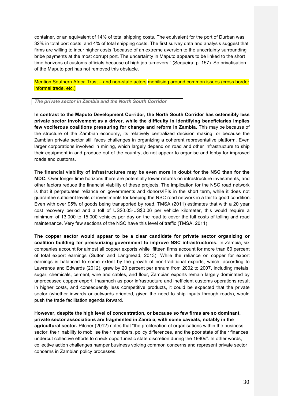container, or an equivalent of 14% of total shipping costs. The equivalent for the port of Durban was 32% in total port costs, and 4% of total shipping costs. The first survey data and analysis suggest that firms are willing to incur higher costs "because of an extreme aversion to the uncertainty surrounding bribe payments at the most corrupt port. The uncertainty in Maputo appears to be linked to the short time horizons of customs officials because of high job turnovers." (Sequeira: p. 157). So privatisation of the Maputo port has not removed this obstacle.

Mention Southern Africa Trust – and non-state actors mobilising around common issues (cross border informal trade, etc.)

*The private sector in Zambia and the North South Corridor* 

**In contrast to the Maputo Development Corridor, the North South Corridor has ostensibly less private sector involvement as a driver, while the difficulty in identifying beneficiaries implies few vociferous coalitions pressuring for change and reform in Zambia.** This may be because of the structure of the Zambian economy, its relatively centralized decision making, or because the Zambian private sector still faces challenges in organizing a coherent representative platform. Even larger corporations involved in mining, which largely depend on road and other infrastructure to ship their equipment in and produce out of the country, do not appear to organise and lobby for improved roads and customs.

**The financial viability of infrastructures may be even more in doubt for the NSC than for the MDC.** Over longer time horizons there are potentially lower returns on infrastructure investments, and other factors reduce the financial viability of these projects. The implication for the NSC road network is that it perpetuates reliance on governments and donors/IFIs in the short term, while it does not guarantee sufficient levels of investments for keeping the NSC road network in a fair to good condition. Even with over 95% of goods being transported by road, TMSA (2011) estimates that with a 20 year cost recovery period and a toll of US\$0.03-US\$0.06 per vehicle kilometer, this would require a minimum of 13,000 to 15,000 vehicles per day on the road to cover the full costs of tolling and road maintenance. Very few sections of the NSC have this level of traffic (TMSA, 2011).

**The copper sector would appear to be a clear candidate for private sector organizing or coalition building for pressurizing government to improve NSC infrastructures.** In Zambia, six companies account for almost all copper exports while fifteen firms account for more than 80 percent of total export earnings (Sutton and Langmead, 2013). While the reliance on copper for export earnings is balanced to some extent by the growth of non-traditional exports, which, according to Lawrence and Edwards (2012), grew by 20 percent per annum from 2002 to 2007, including metals, sugar, chemicals, cement, wire and cables, and flour, Zambian exports remain largely dominated by unprocessed copper export. Inasmuch as poor infrastructure and inefficient customs operations result in higher costs, and consequently less competitive products, it could be expected that the private sector (whether inwards or outwards oriented, given the need to ship inputs through roads), would push the trade facilitation agenda forward.

**However, despite the high level of concentration, or because so few firms are so dominant, private sector associations are fragmented in Zambia, with some caveats, notably in the agricultural sector.** Pitcher (2012) notes that "the proliferation of organisations within the business sector, their inability to mobilise their members, policy differences, and the poor state of their finances undercut collective efforts to check opportunistic state discretion during the 1990s". In other words, collective action challenges hamper business voicing common concerns and represent private sector concerns in Zambian policy processes.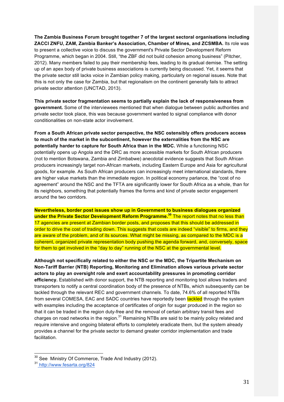**The Zambia Business Forum brought together 7 of the largest sectoral organisations including ZACCI ZNFU, ZAM, Zambia Banker's Association, Chamber of Mines, and ZCSMBA.** Its role was to present a collective voice to discuss the government's Private Sector Development Reform Programme, which began in 2004. Still, "the ZBF did not build cohesion among business" (Pitcher, 2012). Many members failed to pay their membership fees, leading to its gradual demise. The setting up of an apex body of private business associations is currently being discussed. Yet, it seems that the private sector still lacks voice in Zambian policy making, particularly on regional issues. Note that this is not only the case for Zambia, but that regionalism on the continent generally fails to attract private sector attention (UNCTAD, 2013).

**This private sector fragmentation seems to partially explain the lack of responsiveness from government.** Some of the interviewees mentioned that when dialogue between public authorities and private sector took place, this was because government wanted to signal compliance with donor conditionalities on non-state actor involvement.

**From a South African private sector perspective, the NSC ostensibly offers producers access to much of the market in the subcontinent, however the externalities from the NSC are potentially harder to capture for South Africa than in the MDC.** While a functioning NSC potentially opens up Angola and the DRC as more accessible markets for South African producers (not to mention Botswana, Zambia and Zimbabwe) anecdotal evidence suggests that South African producers increasingly target non-African markets, including Eastern Europe and Asia for agricultural goods, for example. As South African producers can increasingly meet international standards, there are higher value markets than the immediate region. In political economy parlance, the "cost of no agreement" around the NSC and the TFTA are significantly lower for South Africa as a whole, than for its neighbors, something that potentially frames the forms and kind of private sector engagement around the two corridors.

**Nevertheless, border post issues show up in Government to business dialogues organized under the Private Sector Development Reform Programme.<sup>30</sup>** The report notes that no less than 17 agencies are present at Zambian border posts, and proposes that this should be addressed in order to drive the cost of trading down. This suggests that costs are indeed "visible" to firms, and they are aware of the problem, and of its sources. What might be missing, as compared to the MDC is a coherent, organized private representation body pushing the agenda forward, and, conversely, space for them to get involved in the "day to day" running of the NSC at the governmental level.

**Although not specifically related to either the NSC or the MDC, the Tripartite Mechanism on Non-Tariff Barrier (NTB) Reporting, Monitoring and Elimination allows various private sector actors to play an oversight role and exert accountability pressures in promoting corridor efficiency.** Established with donor support, the NTB reporting and monitoring tool allows traders and transporters to notify a central coordination body of the presence of NTBs, which subsequently can be tackled through the relevant REC and government channels. To date, 74.6% of all reported NTBs from several COMESA, EAC and SADC countries have reportedly been tackled through the system with examples including the acceptance of certificates of origin for sugar produced in the region so that it can be traded in the region duty-free and the removal of certain arbitrary transit fees and charges on road networks in the region. $31$  Remaining NTBs are said to be mainly policy related and require intensive and ongoing bilateral efforts to completely eradicate them, but the system already provides a channel for the private sector to demand greater corridor implementation and trade facilitation.

<sup>&</sup>lt;sup>30</sup> See Ministry Of Commerce, Trade And Industry (2012).

<sup>31</sup> http://www.fesarta.org/824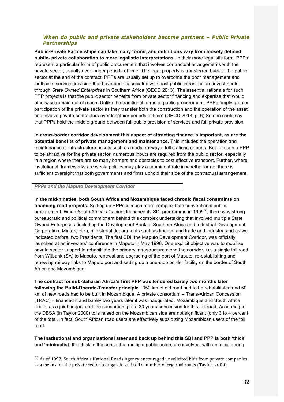#### *When do public and private stakeholders become partners – Public Private Partnerships*

**Public-Private Partnerships can take many forms, and definitions vary from loosely defined public- private collaboration to more legalistic interpretations**. In their more legalistic form, PPPs represent a particular form of public procurement that involves contractual arrangements with the private sector, usually over longer periods of time. The legal property is transferred back to the public sector at the end of the contract. PPPs are usually set up to overcome the poor management and inefficient service provision that have been associated with past public infrastructure investments through *State Owned Enterprises* in Southern Africa (OECD 2013). The essential rationale for such PPP projects is that the public sector benefits from private sector financing and expertise that would otherwise remain out of reach. Unlike the traditional forms of public procurement, PPPs "imply greater participation of the private sector as they transfer both the construction and the operation of the asset and involve private contractors over lengthier periods of time" (OECD 2013: p. 6) So one could say that PPPs hold the middle ground between full public provision of services and full private provision.

**In cross-border corridor development this aspect of attracting finance is important, as are the potential benefits of private management and maintenance.** This includes the operation and maintenance of infrastructure assets such as roads, railways, toll stations or ports. But for such a PPP to be attractive for the private sector, numerous inputs are required from the public sector, especially in a region where there are so many barriers and obstacles to cost effective transport. Further, where institutional frameworks are weak, politics may play a prominent role in whether or not there is sufficient oversight that both governments and firms uphold their side of the contractual arrangement.

#### *PPPs and the Maputo Development Corridor*

 

**In the mid-nineties, both South Africa and Mozambique faced chronic fiscal constraints on financing road projects.** Setting up PPPs is much more complex than conventional public procurement. When South Africa's Cabinet launched its SDI programme in 1995<sup>32</sup>, there was strong bureaucratic and political commitment behind this complex undertaking that involved multiple State Owned Enterprises (including the Development Bank of Southern Africa and Industrial Development Corporation, Mintek, etc.), ministerial departments such as finance and trade and industry, and as we indicated before, two Presidents. The first SDI, the Maputo Development Corridor, was officially launched at an investors' conference in Maputo in May 1996. One explicit objective was to mobilise private sector support to rehabilitate the primary infrastructure along the corridor, i.e. a single toll road from Witbank (SA) to Maputo, renewal and upgrading of the port of Maputo, re-establishing and renewing railway links to Maputo port and setting up a one-stop border facility on the border of South Africa and Mozambique.

**The contract for sub-Saharan Africa's first PPP was tendered barely two months later following the Build-Operate-Transfer principle**. 350 km of old road had to be rehabilitated and 50 km of new roads had to be built in Mozambique. A private consortium – Trans-African Concession (TRAC) – financed it and barely two years later it was inaugurated. Mozambique and South Africa treat it as a joint project and the consortium get a 30 years concession for this toll road. According to the DBSA (in Taylor 2000) tolls raised on the Mozambican side are not significant (only 3 to 4 percent of the total. In fact, South African road users are effectively subsidizing Mozambican users of the toll road.

**The institutional and organisational steer and back up behind this SDI and PPP is both 'thick' and 'minimalist**. It is thick in the sense that multiple public actors are involved, with an initial strong

<sup>32</sup> As of 1997, South Africa's National Roads Agency encouraged unsolicited bids from private companies as a means for the private sector to upgrade and toll a number of regional roads (Taylor, 2000).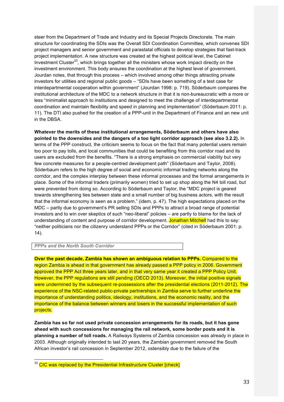steer from the Department of Trade and Industry and its Special Projects Directorate. The main structure for coordinating the SDIs was the Overall SDI Coordination Committee, which convenes SDI project managers and senior government and parastatal officials to develop strategies that fast-track project implementation. A new structure was created at the highest political level, the Cabinet Investment Cluster<sup>33</sup>, which brings together all the ministers whose work impact directly on the investment environment. This body ensures the coordination at the highest level of government. Jourdan notes, that through this process – which involved among other things attracting private investors for utilities and regional public goods – "SDIs have been something of a test case for interdepartmental cooperation within government" (Jourdan 1998: p. 719). Söderbaum compares the institutional architecture of the MDC to a network structure in that it is non-bureaucratic with a more or less "minimalist approach to institutions and designed to meet the challenge of interdepartmental coordination and maintain flexibility and speed in planning and implementation" (Söderbaum 2011: p. 11). The DTI also pushed for the creation of a PPP-unit in the Department of Finance and an new unit in the DBSA.

**Whatever the merits of these institutional arrangements, Söderbaum and others have also pointed to the downsides and the dangers of a too light corridor approach (see also 3.2.2).** In terms of the PPP construct, the criticism seems to focus on the fact that many potential users remain too poor to pay tolls, and local communities that could be benefiting from this corridor road and its users are excluded from the benefits. "There is a strong emphasis on commercial viability but very few concrete measures for a people-centred development path" (Söderbaum and Taylor, 2008). Söderbaum refers to the high degree of social and economic informal trading networks along the corridor, and the complex interplay between these informal processes and the formal arrangements in place. Some of the informal traders (primarily women) tried to set up shop along the N4 toll road, but were prevented from doing so. According to Söderbaum and Taylor, the "MDC project is geared towards strengthening ties between state and a small number of big business actors, with the result that the informal economy is seen as a problem." (idem, p. 47). The high expectations placed on the MDC – partly due to government's PR selling SDIs and PPPs to attract a broad range of potential investors and to win over skeptics of such "neo-liberal" policies – are partly to blame for the lack of understanding of content and purpose of corridor development. Jonathan Mitchell had this to say: "neither politicians nor the citizenry understand PPPs or the Corridor" (cited in Söderbaum 2001: p. 14).

*PPPs and the North South Corridor*

**Over the past decade, Zambia has shown an ambiguous relation to PPPs.** Compared to the region Zambia is ahead in that government has already passed a PPP policy in 2006. Government approved the PPP Act three years later, and in that very same year it created a PPP Policy Unit. However, the PPP regulations are still pending (OECD 2013). Moreover, the initial positive signals were undermined by the subsequent re-possessions after the presidential elections (2011-2012). The experience of the NSC-related public-private partnerships in Zambia serve to further underline the importance of understanding politics, ideology, institutions, and the economic reality, and the importance of the balance between winners and losers in the successful implementation of such projects.

**Zambia has so far not used private concession arrangements for its roads, but it has gone ahead with such concessions for managing the rail network, some border posts and it is planning a number of toll roads.** A Railways Systems of Zambia concession was already in place in 2003. Although originally intended to last 20 years, the Zambian government removed the South African investor's rail concession in September 2012, ostensibly due to the failure of the

<sup>&</sup>lt;sup>33</sup> CIC was replaced by the Presidential Infrastructure Cluster [check]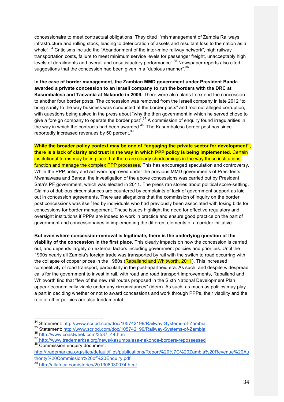concessionaire to meet contractual obligations. They cited "mismanagement of Zambia Railways infrastructure and rolling stock, leading to deterioration of assets and resultant loss to the nation as a whole".<sup>34</sup> Criticisms include the "Abandonment of the inter-mine railway network", high railway transportation costs, failure to meet minimum service levels for passenger freight, unacceptably high levels of derailments and overall and unsatisfactory performance".<sup>35</sup> Newspaper reports also cited suggestions that the concession had been given in a "dubious manner".<sup>36</sup>

**In the case of border management, the Zambian MMD government under President Banda awarded a private concession to an Israeli company to run the borders with the DRC at Kasumbalesa and Tanzania at Nakonde in 2009.** There were also plans to extend the concession to another four border posts. The concession was removed from the Israeli company in late 2012 "to bring sanity to the way business was conducted at the border posts" and root out alleged corruption, with questions being asked in the press about "why the then government in which he served chose to give a foreign company to operate the border post".<sup>37</sup> A commission of enquiry found irregularities in the way in which the contracts had been awarded. $^{38}$  The Kasumbalesa border post has since reportedly increased revenues by 50 percent.<sup>39</sup>

**While the broader policy context may be one of "engaging the private sector for development", there is a lack of clarity and trust in the way in which PPP policy is being implemented.** Certain institutional forms may be in place, but there are clearly shortcomings in the way these institutions function and manage the complex PPP processes. This has encouraged speculation and controversy. While the PPP policy and act were approved under the previous MMD governments of Presidents Mwanawasa and Banda, the investigation of the above concessions was carried out by President Sata's PF government, which was elected in 2011. The press ran stories about political score-settling. Claims of dubious circumstances are countered by complaints of lack of government support as laid out in concession agreements. There are allegations that the commission of inquiry on the border post concessions was itself led by individuals who had previously been associated with losing bids for concessions for border management. These issues highlight the need for effective regulatory and oversight institutions if PPPs are indeed to work in practice and ensure good practice on the part of government and concessionaires in implementing the different elements of a corridor initiative.

**But even where concession-removal is legitimate, there is the underlying question of the viability of the concession in the first place.** This clearly impacts on how the concession is carried out, and depends largely on external factors including government policies and priorities. Until the 1990s nearly all Zambia's foreign trade was transported by rail with the switch to road occurring with the collapse of copper prices in the 1980s (Raballand and Whitworth, 2011). This increased competitivity of road transport, particularly in the post-apartheid era. As such, and despite widespread calls for the government to invest in rail, with road and road transport improvements, Raballand and Whitworth find that "few of the new rail routes proposed in the Sixth National Development Plan appear economically viable under any circumstances" (idem). As such, as much as politics may play a part in deciding whether or not to award concessions and work through PPPs, their viability and the role of other policies are also fundamental.

 <sup>34</sup> Statement: http://www.scribd.com/doc/105742199/Railway-Systems-of-Zambia

<sup>35&</sup>lt;br>35 Statement: http://www.scribd.com/doc/105742199/Railway-Systems-of-Zambia<br>36 http://www.coastweek.com/3537 44.htm

<sup>&</sup>lt;sup>37</sup> http://www.trademarksa.org/news/kasumbalesa-nakonde-borders-repossessed<br><sup>38</sup> Commission enquiry document:

http://trademarksa.org/sites/default/files/publications/Report%20%7C%20Zambia%20Revenue%20Au thority%20Commission%20of%20Enquiry.pdf

<sup>39</sup> http://allafrica.com/stories/201308030074.html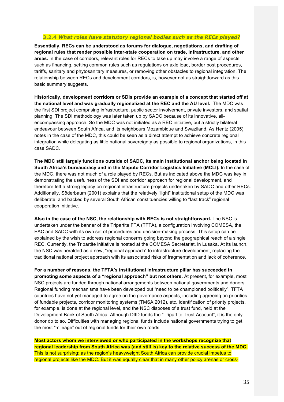#### **3.2.4** *What roles have statutory regional bodies such as the RECs played?*

**Essentially, RECs can be understood as forums for dialogue, negotiations, and drafting of regional rules that render possible inter-state cooperation on trade, infrastructure, and other areas.** In the case of corridors, relevant roles for RECs to take up may involve a range of aspects such as financing, setting common rules such as regulations on axle load, border post procedures, tariffs, sanitary and phytosanitary measures, or removing other obstacles to regional integration. The relationship between RECs and development corridors, is, however not as straightforward as this basic summary suggests.

**Historically, development corridors or SDIs provide an example of a concept that started off at the national level and was gradually regionalized at the REC and the AU level.** The MDC was the first SDI project comprising infrastructure, public sector involvement, private investors, and spatial planning. The SDI methodology was later taken up by SADC because of its innovative, allencompassing approach. So the MDC was not initiated as a REC initiative, but a strictly bilateral endeavour between South Africa, and its neighbours Mozambique and Swaziland. As Hentz (2005) notes in the case of the MDC, this could be seen as a direct attempt to achieve concrete regional integration while delegating as little national sovereignty as possible to regional organizations, in this case SADC.

**The MDC still largely functions outside of SADC, its main institutional anchor being located in South Africa's bureaucracy and in the Maputo Corridor Logistics Initiative (MCLI).** In the case of the MDC, there was not much of a role played by RECs. But as indicated above the MDC was key in demonstrating the usefulness of the SDI and corridor approach for regional development, and therefore left a strong legacy on regional infrastructure projects undertaken by SADC and other RECs. Additionally, Söderbaum (2001) explains that the relatively "light" institutional setup of the MDC was deliberate, and backed by several South African constituencies willing to "fast track" regional cooperation initiative.

**Also in the case of the NSC, the relationship with RECs is not straightforward.** The NSC is undertaken under the banner of the Tripartite FTA (TFTA), a configuration involving COMESA, the EAC and SADC with its own set of procedures and decision-making process. This setup can be explained by the wish to address regional concerns going beyond the geographical reach of a single REC. Currently, the Tripartite initiative is hosted at the COMESA Secretariat, in Lusaka. At its launch, the NSC was heralded as a new, "regional approach" to infrastructure development, replacing the traditional national project approach with its associated risks of fragmentation and lack of coherence.

**For a number of reasons, the TFTA's institutional infrastructure pillar has succeeded in promoting some aspects of a "regional approach" but not others.** At present, for example, most NSC projects are funded through national arrangements between national governments and donors. Regional funding mechanisms have been developed but "need to be championed politically". TFTA countries have not yet managed to agree on the governance aspects, including agreeing on priorities of fundable projects, corridor monitoring systems (TMSA 2012), etc. Identification of priority projects, for example, is done at the regional level, and the NSC disposes of a trust fund, held at the Development Bank of South Africa. Although DfID funds the "Tripartite Trust Account", it is the only donor do to so. Difficulties with managing regional funds include national governments trying to get the most "mileage" out of regional funds for their own roads.

**Most actors whom we interviewed or who participated in the workshops recognize that regional leadership from South Africa was (and still is) key to the relative success of the MDC.** This is not surprising: as the region's heavyweight South Africa can provide crucial impetus to regional projects like the MDC. But it was equally clear that in many other policy arenas or cross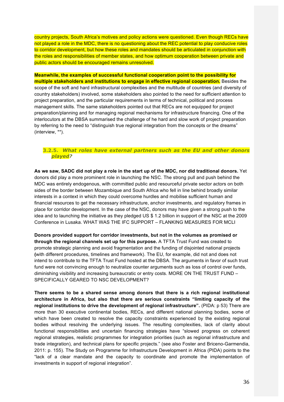country projects, South Africa's motives and policy actions were questioned. Even though RECs have not played a role in the MDC, there is no questioning about the REC potential to play conducive roles to corridor development, but how these roles and mandates should be articulated in conjunction with the roles and responsibilities of member states, and how optimum cooperation between private and public actors should be encouraged remains unresolved.

**Meanwhile, the examples of successful functional cooperation point to the possibility for multiple stakeholders and institutions to engage in effective regional cooperation.** Besides the scope of the soft and hard infrastructural complexities and the multitude of countries (and diversity of country stakeholders) involved, some stakeholders also pointed to the need for sufficient attention to project preparation, and the particular requirements in terms of technical, political and process management skills. The same stakeholders pointed out that RECs are not equipped for project preparation/planning and for managing regional mechanisms for infrastructure financing. One of the interlocutors at the DBSA summarised the challenge of he hard and slow work of project preparation by referring to the need to "distinguish true regional integration from the concepts or the dreams" (interview, \*\*).

#### **3.2.5.** *What roles have external partners such as the EU and other donors played?*

**As we saw, SADC did not play a role in the start up of the MDC, nor did traditional donors.** Yet donors did play a more prominent role in launching the NSC. The strong pull and push behind the MDC was entirely endogenous, with committed public and resourceful private sector actors on both sides of the border between Mozambique and South Africa who fell in line behind broadly similar interests in a context in which they could overcome hurdles and mobilise sufficient human and financial resources to get the necessary infrastructure, anchor investments, and regulatory frames in place for corridor development. In the case of the NSC, donors may have given a strong push to the idea and to launching the initiative as they pledged US \$ 1.2 billion in support of the NSC at the 2009 Conference in Lusaka. WHAT WAS THE IFC SUPPORT – FLANKING MEASURES FOR MCLI

**Donors provided support for corridor investments, but not in the volumes as promised or through the regional channels set up for this purpose.** A TFTA Trust Fund was created to promote strategic planning and avoid fragmentation and the funding of disjointed national projects **(**with different procedures, timelines and framework). The EU, for example, did not and does not intend to contribute to the TFTA Trust Fund hosted at the DBSA. The arguments in favor of such trust fund were not convincing enough to neutralize counter arguments such as loss of control over funds, diminishing visibility and increasing bureaucratic or entry costs. MORE ON THE TRUST FUND – SPECIFICALLY GEARED TO NSC DEVELOPMENT?

**There seems to be a shared sense among donors that there is a rich regional institutional architecture in Africa, but also that there are serious constraints "limiting capacity of the regional institutions to drive the development of regional infrastructure".** (PIDA: p 53) There are more than 30 executive continental bodies, RECs, and different national planning bodies, some of which have been created to resolve the capacity constraints experienced by the existing regional bodies without resolving the underlying issues. The resulting complexities, lack of clarity about functional responsibilities and uncertain financing strategies have "slowed progress on coherent regional strategies, realistic programmes for integration priorities (such as regional infrastructure and trade integration), and technical plans for specific projects." (see also Foster and Briceno-Garmendia, 2011: p. 155). The Study on Programme for Infrastructure Development in Africa (PIDA) points to the "lack of a clear mandate and the capacity to coordinate and promote the implementation of investments in support of regional integration".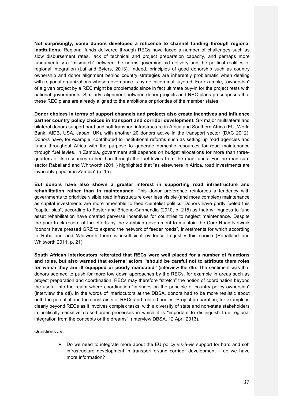**Not surprisingly, some donors developed a reticence to channel funding through regional institutions.** Regional funds delivered through RECs have faced a number of challenges such as slow disbursement rates, lack of technical and project preparation capacity, and perhaps more fundamentally a "mismatch" between the norms governing aid delivery and the political realities of regional integration (Lui and Byiers, 2013). Indeed, principles of good donorship such as country ownership and donor alignment behind country strategies are inherently problematic when dealing with regional organizations whose governance is by definition multilayered. For example, "ownership" of a given project by a REC might be problematic since in fact ultimate buy-in for the project rests with national governments. Similarly, alignment between donor projects and REC plans presupposes that these REC plans are already aligned to the ambitions or priorities of the member states.

**Donor choices in terms of support channels and projects also create incentives and influence partner country policy choices in transport and corridor development.** Six major multilateral and bilateral donors support hard and soft transport infrastructure in Africa and Southern Africa (EU, World Bank, AfDB, USA, Japan, UK), with another 20 donors active in the transport sector (DAC 2012). Donors have, for example, contributed to institutional reforms such as setting up road agencies and funds throughout Africa with the purpose to generate domestic resources for road maintenance through fuel levies. In Zambia, government still depends on budget allocations for more than threequarters of its resources rather than through the fuel levies from the road funds. For the road subsector Raballand and Whitworth (2011) highlighted that "as elsewhere in Africa, road investments are invariably popular in Zambia" (p. 15).

**But donors have also shown a greater interest in supporting road infrastructure and rehabilitation rather than in maintenance.** This donor preference reinforces a tendency with governments to prioritize visible road infrastructure over less visible (and more complex) maintenance as capital investments are more amenable to feed clientelist politics. Donors have partly fueled this "capital bias", according to Foster and Briceno-Garmendia (2010, p. 215) as their willingness to fund asset rehabilitation have created perverse incentives for countries to neglect maintenance. Despite the poor track record of the efforts by the Zambian government to maintain the Core Road Network "donors have pressed GRZ to expand the network of feeder roads", investments for which according to Raballand and Whitworth there is insufficient evidence to justify this choice (Raballand and Whitworth 2011, p. 21).

**South African interlocutors reiterated that RECs were well placed for a number of functions and roles, but also warned that external actors "should be careful not to attribute them roles for which they are ill equipped or poorly mandated"** (interview the dti). The sentiment was that donors seemed to push for more tow down approaches by the RECs, for example in areas such as project preparation and coordination. RECs may therefore "stretch" the notion of coordination beyond the useful into the realm where coordination "infringes on the principle of country policy ownership" (interview the dti). In the words of interlocutors at the DBSA, donors had to be more realistic about both the potential and the constraints of RECs and related bodies. Project preparation, for example is clearly beyond RECs as it involves complex tasks, with a diversity of state and non-state stakeholders in politically sensitive cross-border processes in which it is "important to distinguish true regional integration from the concepts or the dreams". (interview DBSA, 12 April 2013).

Questions JV:

 $\triangleright$  Do we need to integrate more about the EU policy vis-à-vis support for hard and soft infrastructure development in transport or/and corridor development – do we have more information?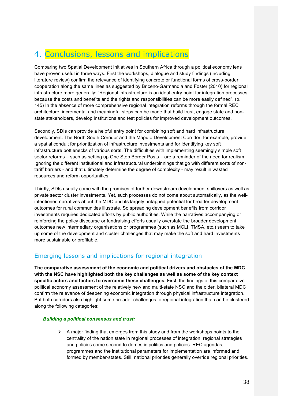# 4. Conclusions, lessons and implications

Comparing two Spatial Development Initiatives in Southern Africa through a political economy lens have proven useful in three ways. First the workshops, dialogue and study findings (including literature review) confirm the relevance of identifying concrete or functional forms of cross-border cooperation along the same lines as suggested by Briceno-Garmandia and Foster (2010) for regional infrastructure more generally: "Regional infrastructure is an ideal entry point for integration processes, because the costs and benefits and the rights and responsibilities can be more easily defined". (p. 145) In the absence of more comprehensive regional integration reforms through the formal REC architecture, incremental and meaningful steps can be made that build trust, engage state and nonstate stakeholders, develop institutions and test policies for improved development outcomes.

Secondly, SDIs can provide a helpful entry point for combining soft and hard infrastructure development. The North South Corridor and the Maputo Development Corridor, for example, provide a spatial conduit for prioritization of infrastructure investments and for identifying key soft infrastructure bottlenecks of various sorts. The difficulties with implementing seemingly simple soft sector reforms – such as setting up One Stop Border Posts – are a reminder of the need for realism. Ignoring the different institutional and infrastructural underpinnings that go with different sorts of nontariff barriers - and that ultimately determine the degree of complexity - may result in wasted resources and reform opportunities.

Thirdly, SDIs usually come with the promises of further downstream development spillovers as well as private sector cluster investments. Yet, such processes do not come about automatically, as the wellintentioned narratives about the MDC and its largely untapped potential for broader development outcomes for rural communities illustrate. So spreading development benefits from corridor investments requires dedicated efforts by public authorities. While the narratives accompanying or reinforcing the policy discourse or fundraising efforts usually overstate the broader development outcomes new intermediary organisations or programmes (such as MCLI, TMSA, etc.) seem to take up some of the development and cluster challenges that may make the soft and hard investments more sustainable or profitable.

### Emerging lessons and implications for regional integration

**The comparative assessment of the economic and political drivers and obstacles of the MDC with the NSC have highlighted both the key challenges as well as some of the key context specific actors and factors to overcome these challenges.** First, the findings of this comparative political economy assessment of the relatively new and multi-state NSC and the older, bilateral MDC confirm the relevance of deepening economic integration through physical infrastructure integration. But both corridors also highlight some broader challenges to regional integration that can be clustered along the following categories:

#### *Building a political consensus and trust:*

 $\triangleright$  A major finding that emerges from this study and from the workshops points to the centrality of the nation state in regional processes of integration: regional strategies and policies come second to domestic politics and policies. REC agendas, programmes and the institutional parameters for implementation are informed and formed by member-states. Still, national priorities generally override regional priorities.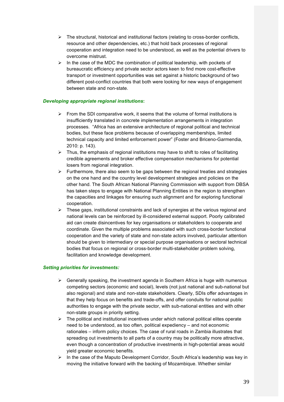- $\triangleright$  The structural, historical and institutional factors (relating to cross-border conflicts, resource and other dependencies, etc.) that hold back processes of regional cooperation and integration need to be understood, as well as the potential drivers to overcome mistrust.
- $\triangleright$  In the case of the MDC the combination of political leadership, with pockets of bureaucratic efficiency and private sector actors keen to find more cost-effective transport or investment opportunities was set against a historic background of two different post-conflict countries that both were looking for new ways of engagement between state and non-state.

#### *Developing appropriate regional institutions***:**

- $\triangleright$  From the SDI comparative work, it seems that the volume of formal institutions is insufficiently translated in concrete implementation arrangements in integration processes. "Africa has an extensive architecture of regional political and technical bodies, but these face problems because of overlapping memberships, limited technical capacity and limited enforcement power" (Foster and Briceno-Garmendia, 2010: p. 143).
- $\triangleright$  Thus, the emphasis of regional institutions may have to shift to roles of facilitating credible agreements and broker effective compensation mechanisms for potential losers from regional integration.
- $\triangleright$  Furthermore, there also seem to be gaps between the regional treaties and strategies on the one hand and the country level development strategies and policies on the other hand. The South African National Planning Commission with support from DBSA has taken steps to engage with National Planning Entities in the region to strengthen the capacities and linkages for ensuring such alignment and for exploring functional cooperation.
- $\triangleright$  These gaps, institutional constraints and lack of synergies at the various regional and national levels can be reinforced by ill-considered external support. Poorly calibrated aid can create disincentives for key organisations or stakeholders to cooperate and coordinate. Given the multiple problems associated with such cross-border functional cooperation and the variety of state and non-state actors involved, particular attention should be given to intermediary or special purpose organisations or sectoral technical bodies that focus on regional or cross-border multi-stakeholder problem solving, facilitation and knowledge development.

#### *Setting priorities for investments:*

- $\triangleright$  Generally speaking, the investment agenda in Southern Africa is huge with numerous competing sectors (economic and social), levels (not just national and sub-national but also regional) and state and non-state stakeholders. Clearly, SDIs offer advantages in that they help focus on benefits and trade-offs, and offer conduits for national public authorities to engage with the private sector, with sub-national entities and with other non-state groups in priority setting.
- $\triangleright$  The political and institutional incentives under which national political elites operate need to be understood, as too often, political expediency – and not economic rationales – inform policy choices. The case of rural roads in Zambia illustrates that spreading out investments to all parts of a country may be politically more attractive, even though a concentration of productive investments in high-potential areas would yield greater economic benefits.
- $\triangleright$  In the case of the Maputo Development Corridor, South Africa's leadership was key in moving the initiative forward with the backing of Mozambique. Whether similar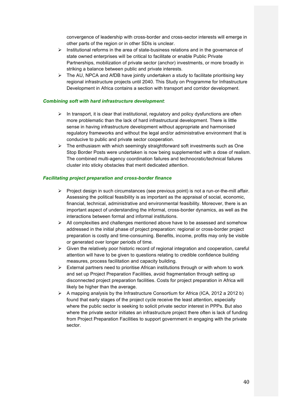convergence of leadership with cross-border and cross-sector interests will emerge in other parts of the region or in other SDIs is unclear.

- $\triangleright$  Institutional reforms in the area of state-business relations and in the governance of state owned enterprises will be critical to facilitate or enable Public Private Partnerships, mobilization of private sector (anchor) investments, or more broadly in striking a balance between public and private interests.
- $\triangleright$  The AU, NPCA and AfDB have jointly undertaken a study to facilitate prioritising key regional infrastructure projects until 2040. This Study on Programme for Infrastructure Development in Africa contains a section with transport and corridor development.

#### *Combining soft with hard infrastructure development*:

- $\triangleright$  In transport, it is clear that institutional, regulatory and policy dysfunctions are often more problematic than the lack of hard infrastructural development. There is little sense in having infrastructure development without appropriate and harmonised regulatory frameworks and without the legal and/or administrative environment that is conducive to public and private sector cooperation.
- $\triangleright$  The enthusiasm with which seemingly straightforward soft investments such as One Stop Border Posts were undertaken is now being supplemented with a dose of realism. The combined multi-agency coordination failures and technocratic/technical failures cluster into sticky obstacles that merit dedicated attention.

#### *Facilitating project preparation and cross-border finance*

- $\triangleright$  Project design in such circumstances (see previous point) is not a run-or-the-mill affair. Assessing the political feasibility is as important as the appraisal of social, economic, financial, technical, administrative and environmental feasibility. Moreover, there is an important aspect of understanding the informal, cross-border dynamics, as well as the interactions between formal and informal institutions.
- $\triangleright$  All complexities and challenges mentioned above have to be assessed and somehow addressed in the initial phase of project preparation: regional or cross-border project preparation is costly and time-consuming. Benefits, income, profits may only be visible or generated over longer periods of time.
- $\triangleright$  Given the relatively poor historic record of regional integration and cooperation, careful attention will have to be given to questions relating to credible confidence building measures, process facilitation and capacity building.
- $\triangleright$  External partners need to prioritise African institutions through or with whom to work and set up Project Preparation Facilities, avoid fragmentation through setting up disconnected project preparation facilities. Costs for project preparation in Africa will likely be higher than the average.
- $\triangleright$  A mapping analysis by the Infrastructure Consortium for Africa (ICA, 2012 a 2012 b) found that early stages of the project cycle receive the least attention, especially where the public sector is seeking to solicit private sector interest in PPPs. But also where the private sector initiates an infrastructure project there often is lack of funding from Project Preparation Facilities to support government in engaging with the private sector.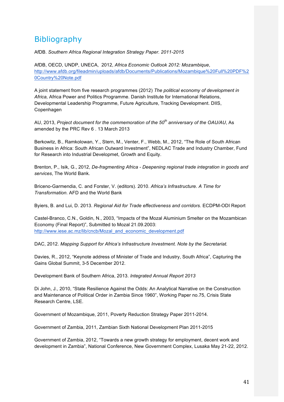# Bibliography

AfDB. *Southern Africa Regional Integration Strategy Paper. 2011-2015*

AfDB, OECD, UNDP, UNECA, 2012, *Africa Economic Outlook 2012: Mozambique*, http://www.afdb.org/fileadmin/uploads/afdb/Documents/Publications/Mozambique%20Full%20PDF%2 0Country%20Note.pdf

A joint statement from five research programmes (2012) *The political economy of development in Africa,* Africa Power and Politics Programme. Danish Institute for International Relations, Developmental Leadership Programme, Future Agriculture, Tracking Development. DIIS, Copenhagen

AU, 2013, *Project document for the commemoration of the 50th anniversary of the OAU/AU*, As amended by the PRC Rev 6 . 13 March 2013

Berkowitz, B., Ramkolowan, Y., Stern, M., Venter, F., Webb, M., 2012, "The Role of South African Business in Africa: South African Outward Investment", NEDLAC Trade and Industry Chamber, Fund for Research into Industrial Developmet, Growth and Equity.

Brenton, P., Isik, G., 2012, *De-fragmenting Africa - Deepening regional trade integration in goods and services*, The World Bank.

Briceno-Garmendia, C. and Forster, V. (editors). 2010. *Africa's Infrastructure. A Time for Transformation.* AFD and the World Bank

Byiers, B. and Lui, D. 2013. *Regional Aid for Trade effectiveness and corridors.* ECDPM-ODI Report

Castel-Branco, C.N., Goldin, N., 2003, "Impacts of the Mozal Aluminium Smelter on the Mozambican Economy (Final Report)", Submitted to Mozal 21.09.2003: http://www.iese.ac.mz/lib/cncb/Mozal\_and\_economic\_development.pdf

DAC, 2012. *Mapping Support for Africa's Infrastructure Investment. Note by the Secretariat.* 

Davies, R., 2012, "Keynote address of Minister of Trade and Industry, South Africa", Capturing the Gains Global Summit, 3-5 December 2012.

Development Bank of Southern Africa, 2013. *Integrated Annual Report 2013*

Di John, J., 2010, "State Resilience Against the Odds: An Analytical Narrative on the Construction and Maintenance of Political Order in Zambia Since 1960", Working Paper no.75, Crisis State Research Centre, LSE.

Government of Mozambique, 2011, Poverty Reduction Strategy Paper 2011-2014.

Government of Zambia, 2011, Zambian Sixth National Development Plan 2011-2015

Government of Zambia, 2012, "Towards a new growth strategy for employment, decent work and development in Zambia", National Conference, New Government Complex, Lusaka May 21-22, 2012.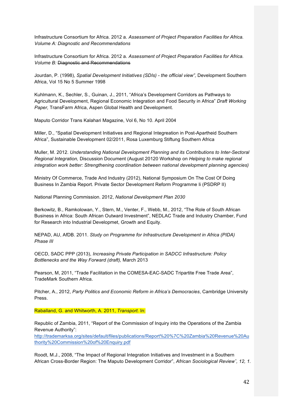Infrastructure Consortium for Africa. 2012 a. *Assessment of Project Preparation Facilities for Africa. Volume A: Diagnostic and Recommendations*

Infrastructure Consortium for Africa. 2012 a. *Assessment of Project Preparation Facilities for Africa. Volume B:* Diagnostic and Recommendations

Jourdan, P. (1998), *Spatial Development Initiatives (SDIs) - the official view",* Development Southern Africa, Vol 15 No 5 Summer 1998

Kuhlmann, K., Sechler, S., Guinan, J., 2011, "Africa's Development Corridors as Pathways to Agricultural Development, Regional Economic Integration and Food Security in Africa" *Draft Working Paper,* TransFarm Africa, Aspen Global Health and Development.

Maputo Corridor Trans Kalahari Magazine, Vol 6, No 10. April 2004

Miller, D., "Spatial Development Initiatives and Regional Integreation in Post-Apartheid Southern Africa", Sustainable Development 02/2011, Rosa Luxemburg Stiftung Southern Africa

Muller, M. 2012. *Understanding National Development Planning and its Contributions to Inter-Sectoral Regional Integration,* Discussion Document (August 20120 Workshop on *Helping to make regional integration work better: Strengthening coordination between national development planning agencies)*

Ministry Of Commerce, Trade And Industry (2012), National Symposium On The Cost Of Doing Business In Zambia Report. Private Sector Development Reform Programme Ii (PSDRP II)

National Planning Commission. 2012, *National Development Plan 2030*

Berkowitz, B., Ramkolowan, Y., Stern, M., Venter, F., Webb, M., 2012, "The Role of South African Business in Africa: South African Outward Investment", NEDLAC Trade and Industry Chamber, Fund for Research into Industrial Developmet, Growth and Equity.

NEPAD, AU, AfDB. 2011. *Study on Programme for Infrastructure Development in Africa (PIDA) Phase III*

OECD, SADC PPP (2013), *Increasing Private Participation in SADCC Infrastructure: Policy Bottlenecks and the Way Forward (draft),* March 2013

Pearson, M, 2011, "Trade Facilitation in the COMESA-EAC-SADC Tripartite Free Trade Area", TradeMark Southern Africa.

Pitcher, A., 2012, *Party Politics and Economic Reform in Africa's Democracies*, Cambridge University Press.

Raballand, G. and Whitworth, A. 2011, *Transport.* In:

Republic of Zambia, 2011, "Report of the Commission of Inquiry into the Operations of the Zambia Revenue Authority":

http://trademarksa.org/sites/default/files/publications/Report%20%7C%20Zambia%20Revenue%20Au thority%20Commission%20of%20Enquiry.pdf

Roodt, M.J., 2008, "The Impact of Regional Integration Initiatives and Investment in a Southern African Cross-Border Region: The Maputo Development Corridor", *African Sociological Reviewˆ, 12, 1.*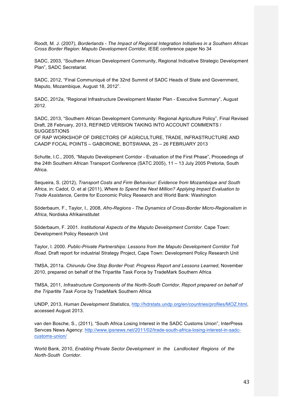Roodt, M. J. (2007), *Borderlands - The Impact of Regional Integration Initiatives in a Southern African Cross Border Region: Maputo Development Corridor,* IESE conference paper No 34

SADC, 2003, "Southern African Development Community, Regional Indicative Strategic Development Plan", SADC Secretariat.

SADC, 2012, "Final Communiqué of the 32nd Summit of SADC Heads of State and Government, Maputo, Mozambique, August 18, 2012".

SADC, 2012a, "Regional Infrastructure Development Master Plan - Executive Summary", August 2012.

SADC, 2013, "Southern African Development Community: Regional Agriculture Policy", Final Revised Draft, 28 February, 2013, REFINED VERSION TAKING INTO ACCOUNT COMMENTS / **SUGGESTIONS** 

OF RAP WORKSHOP OF DIRECTORS OF AGRICULTURE, TRADE, INFRASTRUCTURE AND CAADP FOCAL POINTS – GABORONE, BOTSWANA, 25 – 26 FEBRUARY 2013

Schutte, I.C., 2005, "Maputo Development Corridor - Evaluation of the First Phase", Proceedings of the 24th Southern African Transport Conference (SATC 2005), 11 – 13 July 2005 Pretoria, South Africa.

Sequeira, S. (2012), *Transport Costs and Firm Behaviour: Evidence from Mozambique and South Africa,* in: Cadot, O. et al (2011), *Where to Spend the Next Million? Applying Impact Evaluation to Trade Assistance,* Centre for Economic Policy Research and World Bank: Washington

Söderbaum, F., Taylor, I., 2008, *Afro-Regions - The Dynamics of Cross-Border Micro-Regionalism in Africa*, Nordiska Afrikainstitutet

Söderbaum, F. 2001. *Institutional Aspects of the Maputo Development Corridor.* Cape Town: Development Policy Research Unit

Taylor, I. 2000. *Public-Private Partnerships: Lessons from the Maputo Development Corridor Toll Road.* Draft report for industrial Strategy Project, Cape Town: Development Policy Research Unit

TMSA, 2011a. *Chirundu One Stop Border Post: Progress Report and Lessons Learned*, November 2010, prepared on behalf of the Tripartite Task Force by TradeMark Southern Africa

TMSA, 2011, *Infrastructure Components of the North-South Corridor, Report prepared on behalf of the Tripartite Task Force* by TradeMark Southern Africa

UNDP, 2013, *Human Development Statistics*, http://hdrstats.undp.org/en/countries/profiles/MOZ.html, accessed August 2013.

van den Bosche, S., (2011), "South Africa Losing Interest in the SADC Customs Union", InterPress Servces News Agency: http://www.ipsnews.net/2011/02/trade-south-africa-losing-interest-in-sadccustoms-union/

World Bank, 2010, *Enabling Private Sector Development in the Landlocked Regions of the North-South Corridor*.